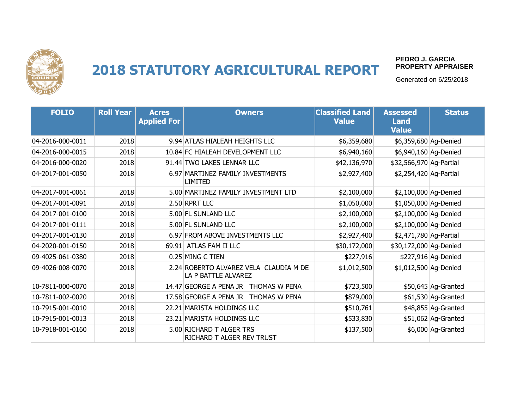

**PEDRO J. GARCIA PROPERTY APPRAISER**

| <b>FOLIO</b>     | <b>Roll Year</b> | <b>Acres</b><br><b>Applied For</b> | <b>Owners</b>                                                 | <b>Classified Land</b><br><b>Value</b> | <b>Assessed</b><br><b>Land</b><br><b>Value</b> | <b>Status</b>       |
|------------------|------------------|------------------------------------|---------------------------------------------------------------|----------------------------------------|------------------------------------------------|---------------------|
| 04-2016-000-0011 | 2018             |                                    | 9.94 ATLAS HIALEAH HEIGHTS LLC                                | \$6,359,680                            | \$6,359,680 Ag-Denied                          |                     |
| 04-2016-000-0015 | 2018             |                                    | 10.84 FC HIALEAH DEVELOPMENT LLC                              | \$6,940,160                            | \$6,940,160 Ag-Denied                          |                     |
| 04-2016-000-0020 | 2018             |                                    | 91.44 TWO LAKES LENNAR LLC                                    | \$42,136,970                           | \$32,566,970 Ag-Partial                        |                     |
| 04-2017-001-0050 | 2018             |                                    | 6.97 MARTINEZ FAMILY INVESTMENTS<br>LIMITED                   | \$2,927,400                            | \$2,254,420 Ag-Partial                         |                     |
| 04-2017-001-0061 | 2018             |                                    | 5.00 MARTINEZ FAMILY INVESTMENT LTD                           | \$2,100,000                            | \$2,100,000 Ag-Denied                          |                     |
| 04-2017-001-0091 | 2018             |                                    | 2.50 RPRT LLC                                                 | \$1,050,000                            | \$1,050,000 Ag-Denied                          |                     |
| 04-2017-001-0100 | 2018             |                                    | 5.00 FL SUNLAND LLC                                           | \$2,100,000                            | \$2,100,000 Ag-Denied                          |                     |
| 04-2017-001-0111 | 2018             |                                    | 5.00 FL SUNLAND LLC                                           | \$2,100,000                            | \$2,100,000 Ag-Denied                          |                     |
| 04-2017-001-0130 | 2018             |                                    | 6.97 FROM ABOVE INVESTMENTS LLC                               | \$2,927,400                            | \$2,471,780 Ag-Partial                         |                     |
| 04-2020-001-0150 | 2018             |                                    | 69.91 ATLAS FAM II LLC                                        | \$30,172,000                           | \$30,172,000 Ag-Denied                         |                     |
| 09-4025-061-0380 | 2018             |                                    | 0.25 MING C TIEN                                              | \$227,916                              |                                                | \$227,916 Ag-Denied |
| 09-4026-008-0070 | 2018             |                                    | 2.24 ROBERTO ALVAREZ VELA CLAUDIA M DE<br>LA P BATTLE ALVAREZ | \$1,012,500                            | \$1,012,500 Ag-Denied                          |                     |
| 10-7811-000-0070 | 2018             |                                    | 14.47 GEORGE A PENA JR THOMAS W PENA                          | \$723,500                              |                                                | \$50,645 Ag-Granted |
| 10-7811-002-0020 | 2018             |                                    | 17.58 GEORGE A PENA JR THOMAS W PENA                          | \$879,000                              |                                                | \$61,530 Ag-Granted |
| 10-7915-001-0010 | 2018             |                                    | 22.21 MARISTA HOLDINGS LLC                                    | \$510,761                              |                                                | \$48,855 Ag-Granted |
| 10-7915-001-0013 | 2018             |                                    | 23.21 MARISTA HOLDINGS LLC                                    | \$533,830                              |                                                | \$51,062 Ag-Granted |
| 10-7918-001-0160 | 2018             |                                    | 5.00 RICHARD T ALGER TRS<br>RICHARD T ALGER REV TRUST         | \$137,500                              |                                                | \$6,000 Ag-Granted  |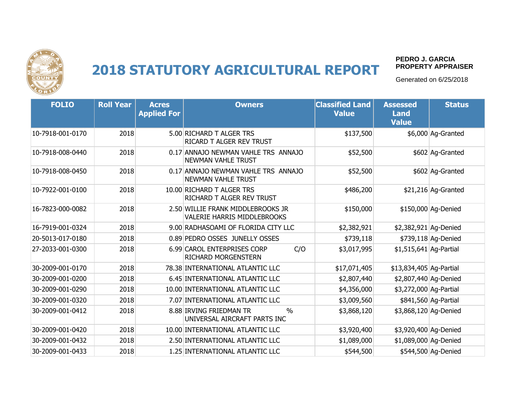

#### **PEDRO J. GARCIA PROPERTY APPRAISER**

| <b>FOLIO</b>     | <b>Roll Year</b> | <b>Acres</b><br><b>Applied For</b> | <b>Owners</b>                                                           | <b>Classified Land</b><br><b>Value</b> | <b>Assessed</b><br><b>Land</b><br><b>Value</b> | <b>Status</b>        |
|------------------|------------------|------------------------------------|-------------------------------------------------------------------------|----------------------------------------|------------------------------------------------|----------------------|
| 10-7918-001-0170 | 2018             |                                    | 5.00 RICHARD T ALGER TRS<br>RICARD T ALGER REV TRUST                    | \$137,500                              |                                                | \$6,000 Ag-Granted   |
| 10-7918-008-0440 | 2018             |                                    | 0.17 ANNAJO NEWMAN VAHLE TRS ANNAJO<br><b>NEWMAN VAHLE TRUST</b>        | \$52,500                               |                                                | \$602 Ag-Granted     |
| 10-7918-008-0450 | 2018             |                                    | 0.17 ANNAJO NEWMAN VAHLE TRS ANNAJO<br><b>NEWMAN VAHLE TRUST</b>        | \$52,500                               |                                                | \$602 Ag-Granted     |
| 10-7922-001-0100 | 2018             |                                    | 10.00 RICHARD T ALGER TRS<br>RICHARD T ALGER REV TRUST                  | \$486,200                              |                                                | \$21,216 Ag-Granted  |
| 16-7823-000-0082 | 2018             |                                    | 2.50 WILLIE FRANK MIDDLEBROOKS JR<br><b>VALERIE HARRIS MIDDLEBROOKS</b> | \$150,000                              |                                                | \$150,000 Ag-Denied  |
| 16-7919-001-0324 | 2018             |                                    | 9.00 RADHASOAMI OF FLORIDA CITY LLC                                     | \$2,382,921                            | \$2,382,921 Ag-Denied                          |                      |
| 20-5013-017-0180 | 2018             |                                    | 0.89 PEDRO OSSES JUNELLY OSSES                                          | \$739,118                              |                                                | \$739,118 Ag-Denied  |
| 27-2033-001-0300 | 2018             |                                    | 6.99 CAROL ENTERPRISES CORP<br>C/O<br><b>RICHARD MORGENSTERN</b>        | \$3,017,995                            | \$1,515,641 Ag-Partial                         |                      |
| 30-2009-001-0170 | 2018             |                                    | 78.38 INTERNATIONAL ATLANTIC LLC                                        | \$17,071,405                           | \$13,834,405 Ag-Partial                        |                      |
| 30-2009-001-0200 | 2018             |                                    | 6.45 INTERNATIONAL ATLANTIC LLC                                         | \$2,807,440                            | \$2,807,440 Ag-Denied                          |                      |
| 30-2009-001-0290 | 2018             |                                    | 10.00 INTERNATIONAL ATLANTIC LLC                                        | \$4,356,000                            | \$3,272,000 Ag-Partial                         |                      |
| 30-2009-001-0320 | 2018             |                                    | 7.07 INTERNATIONAL ATLANTIC LLC                                         | \$3,009,560                            |                                                | \$841,560 Ag-Partial |
| 30-2009-001-0412 | 2018             |                                    | 8.88 IRVING FRIEDMAN TR<br>$\%$<br>UNIVERSAL AIRCRAFT PARTS INC         | \$3,868,120                            | \$3,868,120 Ag-Denied                          |                      |
| 30-2009-001-0420 | 2018             |                                    | 10.00 INTERNATIONAL ATLANTIC LLC                                        | \$3,920,400                            | \$3,920,400 Ag-Denied                          |                      |
| 30-2009-001-0432 | 2018             |                                    | 2.50 INTERNATIONAL ATLANTIC LLC                                         | \$1,089,000                            | \$1,089,000 Ag-Denied                          |                      |
| 30-2009-001-0433 | 2018             |                                    | 1.25 INTERNATIONAL ATLANTIC LLC                                         | \$544,500                              |                                                | \$544,500 Ag-Denied  |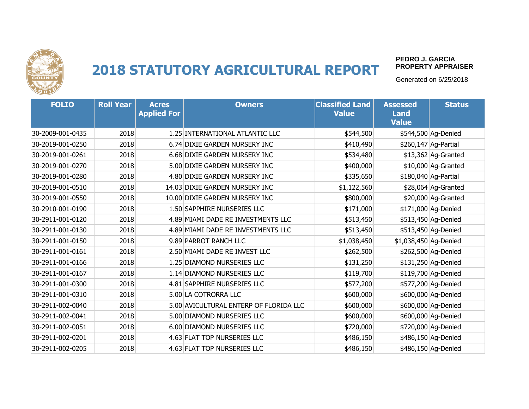

#### **PEDRO J. GARCIA PROPERTY APPRAISER**

| <b>FOLIO</b>     | <b>Roll Year</b> | <b>Acres</b><br><b>Applied For</b> | <b>Owners</b>                          | <b>Classified Land</b><br><b>Value</b> | <b>Assessed</b><br><b>Land</b><br><b>Value</b> | <b>Status</b>        |
|------------------|------------------|------------------------------------|----------------------------------------|----------------------------------------|------------------------------------------------|----------------------|
| 30-2009-001-0435 | 2018             |                                    | 1.25 INTERNATIONAL ATLANTIC LLC        | \$544,500                              |                                                | \$544,500 Ag-Denied  |
| 30-2019-001-0250 | 2018             |                                    | 6.74 DIXIE GARDEN NURSERY INC          | \$410,490                              |                                                | \$260,147 Ag-Partial |
| 30-2019-001-0261 | 2018             |                                    | 6.68 DIXIE GARDEN NURSERY INC          | \$534,480                              |                                                | \$13,362 Ag-Granted  |
| 30-2019-001-0270 | 2018             |                                    | 5.00 DIXIE GARDEN NURSERY INC          | \$400,000                              |                                                | \$10,000 Ag-Granted  |
| 30-2019-001-0280 | 2018             |                                    | 4.80 DIXIE GARDEN NURSERY INC          | \$335,650                              |                                                | \$180,040 Ag-Partial |
| 30-2019-001-0510 | 2018             |                                    | 14.03 DIXIE GARDEN NURSERY INC         | \$1,122,560                            |                                                | \$28,064 Ag-Granted  |
| 30-2019-001-0550 | 2018             |                                    | 10.00 DIXIE GARDEN NURSERY INC         | \$800,000                              |                                                | \$20,000 Ag-Granted  |
| 30-2910-001-0190 | 2018             |                                    | 1.50 SAPPHIRE NURSERIES LLC            | \$171,000                              |                                                | \$171,000 Ag-Denied  |
| 30-2911-001-0120 | 2018             |                                    | 4.89 MIAMI DADE RE INVESTMENTS LLC     | \$513,450                              |                                                | \$513,450 Ag-Denied  |
| 30-2911-001-0130 | 2018             |                                    | 4.89 MIAMI DADE RE INVESTMENTS LLC     | \$513,450                              |                                                | \$513,450 Ag-Denied  |
| 30-2911-001-0150 | 2018             |                                    | 9.89 PARROT RANCH LLC                  | \$1,038,450                            | \$1,038,450 Ag-Denied                          |                      |
| 30-2911-001-0161 | 2018             |                                    | 2.50 MIAMI DADE RE INVEST LLC          | \$262,500                              |                                                | \$262,500 Ag-Denied  |
| 30-2911-001-0166 | 2018             |                                    | 1.25 DIAMOND NURSERIES LLC             | \$131,250                              |                                                | \$131,250 Ag-Denied  |
| 30-2911-001-0167 | 2018             |                                    | 1.14 DIAMOND NURSERIES LLC             | \$119,700                              |                                                | \$119,700 Ag-Denied  |
| 30-2911-001-0300 | 2018             |                                    | 4.81 SAPPHIRE NURSERIES LLC            | \$577,200                              |                                                | \$577,200 Ag-Denied  |
| 30-2911-001-0310 | 2018             |                                    | 5.00 LA COTRORRA LLC                   | \$600,000                              |                                                | \$600,000 Ag-Denied  |
| 30-2911-002-0040 | 2018             |                                    | 5.00 AVICULTURAL ENTERP OF FLORIDA LLC | \$600,000                              |                                                | \$600,000 Ag-Denied  |
| 30-2911-002-0041 | 2018             |                                    | 5.00 DIAMOND NURSERIES LLC             | \$600,000                              |                                                | \$600,000 Ag-Denied  |
| 30-2911-002-0051 | 2018             |                                    | 6.00 DIAMOND NURSERIES LLC             | \$720,000                              |                                                | \$720,000 Ag-Denied  |
| 30-2911-002-0201 | 2018             |                                    | 4.63 FLAT TOP NURSERIES LLC            | \$486,150                              |                                                | \$486,150 Ag-Denied  |
| 30-2911-002-0205 | 2018             |                                    | 4.63 FLAT TOP NURSERIES LLC            | \$486,150                              |                                                | \$486,150 Ag-Denied  |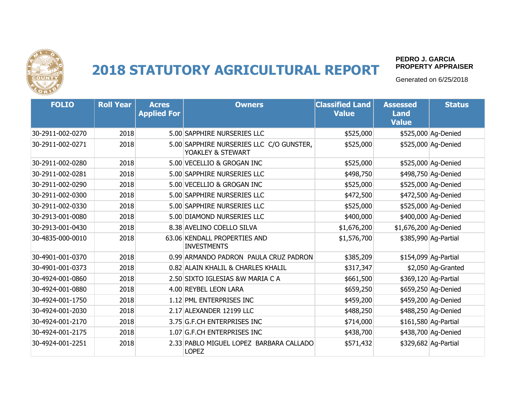

#### **PEDRO J. GARCIA PROPERTY APPRAISER**

| <b>FOLIO</b>     | <b>Roll Year</b> | <b>Acres</b><br><b>Applied For</b> | <b>Owners</b>                                                 | <b>Classified Land</b><br><b>Value</b> | <b>Assessed</b><br><b>Land</b><br><b>Value</b> | <b>Status</b>        |
|------------------|------------------|------------------------------------|---------------------------------------------------------------|----------------------------------------|------------------------------------------------|----------------------|
| 30-2911-002-0270 | 2018             |                                    | 5.00 SAPPHIRE NURSERIES LLC                                   | \$525,000                              |                                                | \$525,000 Ag-Denied  |
| 30-2911-002-0271 | 2018             |                                    | 5.00 SAPPHIRE NURSERIES LLC C/O GUNSTER,<br>YOAKLEY & STEWART | \$525,000                              |                                                | \$525,000 Ag-Denied  |
| 30-2911-002-0280 | 2018             |                                    | 5.00 VECELLIO & GROGAN INC                                    | \$525,000                              |                                                | \$525,000 Ag-Denied  |
| 30-2911-002-0281 | 2018             |                                    | 5.00 SAPPHIRE NURSERIES LLC                                   | \$498,750                              |                                                | \$498,750 Ag-Denied  |
| 30-2911-002-0290 | 2018             |                                    | 5.00 VECELLIO & GROGAN INC                                    | \$525,000                              |                                                | \$525,000 Ag-Denied  |
| 30-2911-002-0300 | 2018             |                                    | 5.00 SAPPHIRE NURSERIES LLC                                   | \$472,500                              |                                                | \$472,500 Ag-Denied  |
| 30-2911-002-0330 | 2018             |                                    | 5.00 SAPPHIRE NURSERIES LLC                                   | \$525,000                              |                                                | \$525,000 Ag-Denied  |
| 30-2913-001-0080 | 2018             |                                    | 5.00 DIAMOND NURSERIES LLC                                    | \$400,000                              |                                                | \$400,000 Ag-Denied  |
| 30-2913-001-0430 | 2018             |                                    | 8.38 AVELINO COELLO SILVA                                     | \$1,676,200                            | \$1,676,200 Ag-Denied                          |                      |
| 30-4835-000-0010 | 2018             |                                    | 63.06 KENDALL PROPERTIES AND<br><b>INVESTMENTS</b>            | \$1,576,700                            |                                                | \$385,990 Ag-Partial |
| 30-4901-001-0370 | 2018             |                                    | 0.99 ARMANDO PADRON PAULA CRUZ PADRON                         | \$385,209                              |                                                | \$154,099 Ag-Partial |
| 30-4901-001-0373 | 2018             |                                    | 0.82 ALAIN KHALIL & CHARLES KHALIL                            | \$317,347                              |                                                | \$2,050 Ag-Granted   |
| 30-4924-001-0860 | 2018             |                                    | 2.50 SIXTO IGLESIAS & W MARIA C A                             | \$661,500                              |                                                | \$369,120 Ag-Partial |
| 30-4924-001-0880 | 2018             |                                    | 4.00 REYBEL LEON LARA                                         | \$659,250                              |                                                | \$659,250 Ag-Denied  |
| 30-4924-001-1750 | 2018             |                                    | 1.12 PML ENTERPRISES INC                                      | \$459,200                              |                                                | \$459,200 Ag-Denied  |
| 30-4924-001-2030 | 2018             |                                    | 2.17 ALEXANDER 12199 LLC                                      | \$488,250                              |                                                | \$488,250 Ag-Denied  |
| 30-4924-001-2170 | 2018             |                                    | 3.75 G.F.CH ENTERPRISES INC                                   | \$714,000                              |                                                | \$161,580 Ag-Partial |
| 30-4924-001-2175 | 2018             |                                    | 1.07 G.F.CH ENTERPRISES INC                                   | \$438,700                              |                                                | \$438,700 Ag-Denied  |
| 30-4924-001-2251 | 2018             |                                    | 2.33 PABLO MIGUEL LOPEZ BARBARA CALLADO<br><b>LOPEZ</b>       | \$571,432                              |                                                | \$329,682 Ag-Partial |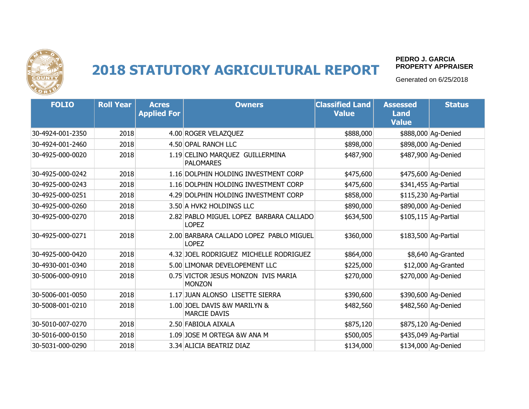

#### **PEDRO J. GARCIA PROPERTY APPRAISER**

| <b>FOLIO</b>     | <b>Roll Year</b> | <b>Acres</b><br><b>Applied For</b> | <b>Owners</b>                                           | <b>Classified Land</b><br><b>Value</b> | <b>Assessed</b><br><b>Land</b><br><b>Value</b> | <b>Status</b>        |
|------------------|------------------|------------------------------------|---------------------------------------------------------|----------------------------------------|------------------------------------------------|----------------------|
| 30-4924-001-2350 | 2018             |                                    | 4.00 ROGER VELAZQUEZ                                    | \$888,000                              |                                                | \$888,000 Ag-Denied  |
| 30-4924-001-2460 | 2018             |                                    | 4.50 OPAL RANCH LLC                                     | \$898,000                              |                                                | \$898,000 Ag-Denied  |
| 30-4925-000-0020 | 2018             |                                    | 1.19 CELINO MARQUEZ GUILLERMINA<br><b>PALOMARES</b>     | \$487,900                              |                                                | \$487,900 Ag-Denied  |
| 30-4925-000-0242 | 2018             |                                    | 1.16 DOLPHIN HOLDING INVESTMENT CORP                    | \$475,600                              |                                                | \$475,600 Ag-Denied  |
| 30-4925-000-0243 | 2018             |                                    | 1.16 DOLPHIN HOLDING INVESTMENT CORP                    | \$475,600                              |                                                | \$341,455 Ag-Partial |
| 30-4925-000-0251 | 2018             |                                    | 4.29 DOLPHIN HOLDING INVESTMENT CORP                    | \$858,000                              |                                                | \$115,230 Ag-Partial |
| 30-4925-000-0260 | 2018             |                                    | 3.50 A HVK2 HOLDINGS LLC                                | \$890,000                              |                                                | \$890,000 Ag-Denied  |
| 30-4925-000-0270 | 2018             |                                    | 2.82 PABLO MIGUEL LOPEZ BARBARA CALLADO<br><b>LOPEZ</b> | \$634,500                              |                                                | \$105,115 Ag-Partial |
| 30-4925-000-0271 | 2018             |                                    | 2.00 BARBARA CALLADO LOPEZ PABLO MIGUEL<br><b>LOPEZ</b> | \$360,000                              |                                                | \$183,500 Ag-Partial |
| 30-4925-000-0420 | 2018             |                                    | 4.32 JOEL RODRIGUEZ MICHELLE RODRIGUEZ                  | \$864,000                              |                                                | \$8,640 Ag-Granted   |
| 30-4930-001-0340 | 2018             |                                    | 5.00 LIMONAR DEVELOPEMENT LLC                           | \$225,000                              |                                                | \$12,000 Ag-Granted  |
| 30-5006-000-0910 | 2018             |                                    | 0.75 VICTOR JESUS MONZON IVIS MARIA<br><b>MONZON</b>    | \$270,000                              |                                                | \$270,000 Ag-Denied  |
| 30-5006-001-0050 | 2018             |                                    | 1.17 JUAN ALONSO LISETTE SIERRA                         | \$390,600                              |                                                | \$390,600 Ag-Denied  |
| 30-5008-001-0210 | 2018             |                                    | 1.00 JOEL DAVIS &W MARILYN &<br><b>MARCIE DAVIS</b>     | \$482,560                              |                                                | \$482,560 Ag-Denied  |
| 30-5010-007-0270 | 2018             |                                    | 2.50 FABIOLA AIXALA                                     | \$875,120                              |                                                | \$875,120 Ag-Denied  |
| 30-5016-000-0150 | 2018             |                                    | 1.09 JOSE M ORTEGA &W ANA M                             | \$500,005                              |                                                | \$435,049 Ag-Partial |
| 30-5031-000-0290 | 2018             |                                    | 3.34 ALICIA BEATRIZ DIAZ                                | \$134,000                              |                                                | \$134,000 Ag-Denied  |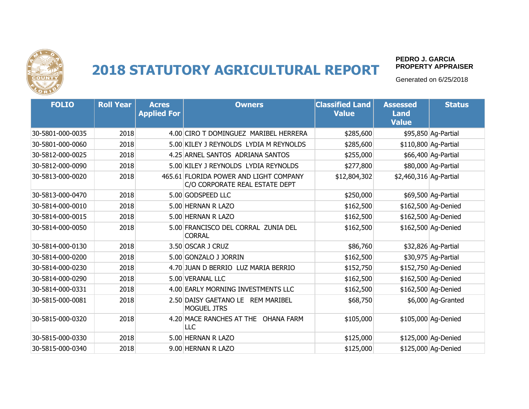

#### **PEDRO J. GARCIA PROPERTY APPRAISER**

| <b>FOLIO</b>     | <b>Roll Year</b> | <b>Acres</b><br><b>Applied For</b> | <b>Owners</b>                                                            | <b>Classified Land</b><br><b>Value</b> | <b>Assessed</b><br><b>Land</b><br><b>Value</b> | <b>Status</b>        |
|------------------|------------------|------------------------------------|--------------------------------------------------------------------------|----------------------------------------|------------------------------------------------|----------------------|
| 30-5801-000-0035 | 2018             |                                    | 4.00 CIRO T DOMINGUEZ MARIBEL HERRERA                                    | \$285,600                              |                                                | \$95,850 Ag-Partial  |
| 30-5801-000-0060 | 2018             |                                    | 5.00 KILEY J REYNOLDS LYDIA M REYNOLDS                                   | \$285,600                              |                                                | \$110,800 Ag-Partial |
| 30-5812-000-0025 | 2018             |                                    | 4.25 ARNEL SANTOS ADRIANA SANTOS                                         | \$255,000                              |                                                | \$66,400 Ag-Partial  |
| 30-5812-000-0090 | 2018             |                                    | 5.00 KILEY J REYNOLDS LYDIA REYNOLDS                                     | \$277,800                              |                                                | \$80,000 Ag-Partial  |
| 30-5813-000-0020 | 2018             |                                    | 465.61 FLORIDA POWER AND LIGHT COMPANY<br>C/O CORPORATE REAL ESTATE DEPT | \$12,804,302                           | \$2,460,316 Ag-Partial                         |                      |
| 30-5813-000-0470 | 2018             |                                    | 5.00 GODSPEED LLC                                                        | \$250,000                              |                                                | \$69,500 Ag-Partial  |
| 30-5814-000-0010 | 2018             |                                    | 5.00 HERNAN R LAZO                                                       | \$162,500                              |                                                | \$162,500 Ag-Denied  |
| 30-5814-000-0015 | 2018             |                                    | 5.00 HERNAN R LAZO                                                       | \$162,500                              |                                                | \$162,500 Ag-Denied  |
| 30-5814-000-0050 | 2018             |                                    | 5.00 FRANCISCO DEL CORRAL ZUNIA DEL<br><b>CORRAL</b>                     | \$162,500                              |                                                | \$162,500 Ag-Denied  |
| 30-5814-000-0130 | 2018             |                                    | 3.50 OSCAR J CRUZ                                                        | \$86,760                               |                                                | \$32,826 Ag-Partial  |
| 30-5814-000-0200 | 2018             |                                    | 5.00 GONZALO J JORRIN                                                    | \$162,500                              |                                                | \$30,975 Ag-Partial  |
| 30-5814-000-0230 | 2018             |                                    | 4.70 JUAN D BERRIO LUZ MARIA BERRIO                                      | \$152,750                              |                                                | \$152,750 Ag-Denied  |
| 30-5814-000-0290 | 2018             |                                    | 5.00 VERANAL LLC                                                         | \$162,500                              |                                                | \$162,500 Ag-Denied  |
| 30-5814-000-0331 | 2018             |                                    | 4.00 EARLY MORNING INVESTMENTS LLC                                       | \$162,500                              |                                                | \$162,500 Ag-Denied  |
| 30-5815-000-0081 | 2018             |                                    | 2.50 DAISY GAETANO LE REM MARIBEL<br><b>MOGUEL JTRS</b>                  | \$68,750                               |                                                | \$6,000 Ag-Granted   |
| 30-5815-000-0320 | 2018             |                                    | 4.20 MACE RANCHES AT THE OHANA FARM<br>LLC                               | \$105,000                              |                                                | \$105,000 Ag-Denied  |
| 30-5815-000-0330 | 2018             |                                    | 5.00 HERNAN R LAZO                                                       | \$125,000                              |                                                | \$125,000 Ag-Denied  |
| 30-5815-000-0340 | 2018             |                                    | 9.00 HERNAN R LAZO                                                       | \$125,000                              |                                                | \$125,000 Ag-Denied  |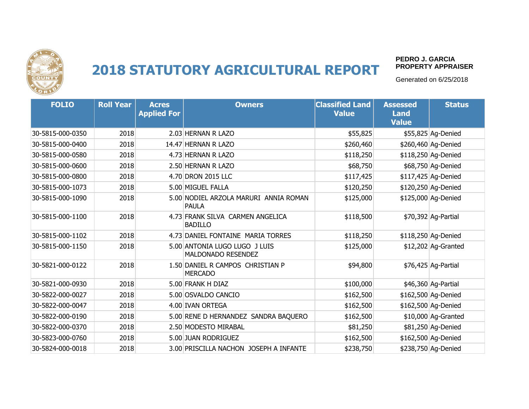

#### **PEDRO J. GARCIA PROPERTY APPRAISER**

| <b>FOLIO</b>     | <b>Roll Year</b> | <b>Acres</b><br><b>Applied For</b> | <b>Owners</b>                                         | <b>Classified Land</b><br><b>Value</b> | <b>Assessed</b><br><b>Land</b><br><b>Value</b> | <b>Status</b>       |
|------------------|------------------|------------------------------------|-------------------------------------------------------|----------------------------------------|------------------------------------------------|---------------------|
| 30-5815-000-0350 | 2018             |                                    | 2.03 HERNAN R LAZO                                    | \$55,825                               |                                                | \$55,825 Ag-Denied  |
| 30-5815-000-0400 | 2018             |                                    | 14.47 HERNAN R LAZO                                   | \$260,460                              |                                                | \$260,460 Ag-Denied |
| 30-5815-000-0580 | 2018             |                                    | 4.73 HERNAN R LAZO                                    | \$118,250                              |                                                | \$118,250 Ag-Denied |
| 30-5815-000-0600 | 2018             |                                    | 2.50 HERNAN R LAZO                                    | \$68,750                               |                                                | \$68,750 Ag-Denied  |
| 30-5815-000-0800 | 2018             |                                    | 4.70 DRON 2015 LLC                                    | \$117,425                              |                                                | \$117,425 Ag-Denied |
| 30-5815-000-1073 | 2018             |                                    | 5.00 MIGUEL FALLA                                     | \$120,250                              |                                                | \$120,250 Ag-Denied |
| 30-5815-000-1090 | 2018             |                                    | 5.00 NODIEL ARZOLA MARURI ANNIA ROMAN<br><b>PAULA</b> | \$125,000                              |                                                | \$125,000 Ag-Denied |
| 30-5815-000-1100 | 2018             |                                    | 4.73 FRANK SILVA CARMEN ANGELICA<br><b>BADILLO</b>    | \$118,500                              |                                                | \$70,392 Ag-Partial |
| 30-5815-000-1102 | 2018             |                                    | 4.73 DANIEL FONTAINE MARIA TORRES                     | \$118,250                              |                                                | \$118,250 Ag-Denied |
| 30-5815-000-1150 | 2018             |                                    | 5.00 ANTONIA LUGO LUGO J LUIS<br>MALDONADO RESENDEZ   | \$125,000                              |                                                | \$12,202 Ag-Granted |
| 30-5821-000-0122 | 2018             |                                    | 1.50 DANIEL R CAMPOS CHRISTIAN P<br><b>MERCADO</b>    | \$94,800                               |                                                | \$76,425 Ag-Partial |
| 30-5821-000-0930 | 2018             |                                    | 5.00 FRANK H DIAZ                                     | \$100,000                              |                                                | \$46,360 Ag-Partial |
| 30-5822-000-0027 | 2018             |                                    | 5.00 OSVALDO CANCIO                                   | \$162,500                              |                                                | \$162,500 Ag-Denied |
| 30-5822-000-0047 | 2018             |                                    | 4.00 IVAN ORTEGA                                      | \$162,500                              |                                                | \$162,500 Ag-Denied |
| 30-5822-000-0190 | 2018             |                                    | 5.00 RENE D HERNANDEZ SANDRA BAQUERO                  | \$162,500                              |                                                | \$10,000 Ag-Granted |
| 30-5822-000-0370 | 2018             |                                    | 2.50 MODESTO MIRABAL                                  | \$81,250                               |                                                | \$81,250 Ag-Denied  |
| 30-5823-000-0760 | 2018             |                                    | 5.00 JUAN RODRIGUEZ                                   | \$162,500                              |                                                | \$162,500 Ag-Denied |
| 30-5824-000-0018 | 2018             |                                    | 3.00 PRISCILLA NACHON JOSEPH A INFANTE                | \$238,750                              |                                                | \$238,750 Ag-Denied |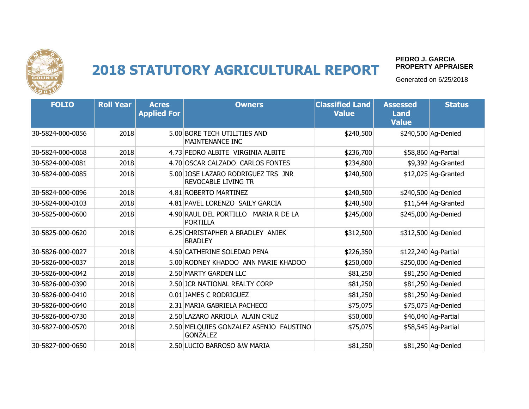

#### **PEDRO J. GARCIA PROPERTY APPRAISER**

| <b>FOLIO</b>     | <b>Roll Year</b> | <b>Acres</b><br><b>Applied For</b> | <b>Owners</b>                                                    | <b>Classified Land</b><br><b>Value</b> | <b>Assessed</b><br><b>Land</b><br><b>Value</b> | <b>Status</b>        |
|------------------|------------------|------------------------------------|------------------------------------------------------------------|----------------------------------------|------------------------------------------------|----------------------|
| 30-5824-000-0056 | 2018             |                                    | 5.00 BORE TECH UTILITIES AND<br>MAINTENANCE INC                  | \$240,500                              |                                                | \$240,500 Ag-Denied  |
| 30-5824-000-0068 | 2018             |                                    | 4.73 PEDRO ALBITE VIRGINIA ALBITE                                | \$236,700                              |                                                | \$58,860 Ag-Partial  |
| 30-5824-000-0081 | 2018             |                                    | 4.70 OSCAR CALZADO CARLOS FONTES                                 | \$234,800                              |                                                | \$9,392 Ag-Granted   |
| 30-5824-000-0085 | 2018             |                                    | 5.00 JOSE LAZARO RODRIGUEZ TRS JNR<br><b>REVOCABLE LIVING TR</b> | \$240,500                              |                                                | $$12,025$ Ag-Granted |
| 30-5824-000-0096 | 2018             |                                    | 4.81 ROBERTO MARTINEZ                                            | \$240,500                              |                                                | \$240,500 Ag-Denied  |
| 30-5824-000-0103 | 2018             |                                    | 4.81 PAVEL LORENZO SAILY GARCIA                                  | \$240,500                              |                                                | \$11,544 Ag-Granted  |
| 30-5825-000-0600 | 2018             |                                    | 4.90 RAUL DEL PORTILLO<br>MARIA R DE LA<br><b>PORTILLA</b>       | \$245,000                              |                                                | \$245,000 Ag-Denied  |
| 30-5825-000-0620 | 2018             |                                    | 6.25 CHRISTAPHER A BRADLEY ANIEK<br><b>BRADLEY</b>               | \$312,500                              |                                                | \$312,500 Ag-Denied  |
| 30-5826-000-0027 | 2018             |                                    | 4.50 CATHERINE SOLEDAD PENA                                      | \$226,350                              |                                                | \$122,240 Ag-Partial |
| 30-5826-000-0037 | 2018             |                                    | 5.00 RODNEY KHADOO ANN MARIE KHADOO                              | \$250,000                              |                                                | \$250,000 Ag-Denied  |
| 30-5826-000-0042 | 2018             |                                    | 2.50 MARTY GARDEN LLC                                            | \$81,250                               |                                                | \$81,250 Ag-Denied   |
| 30-5826-000-0390 | 2018             |                                    | 2.50 JCR NATIONAL REALTY CORP                                    | \$81,250                               |                                                | \$81,250 Ag-Denied   |
| 30-5826-000-0410 | 2018             |                                    | 0.01 JAMES C RODRIGUEZ                                           | \$81,250                               |                                                | \$81,250 Ag-Denied   |
| 30-5826-000-0640 | 2018             |                                    | 2.31 MARIA GABRIELA PACHECO                                      | \$75,075                               |                                                | \$75,075 Ag-Denied   |
| 30-5826-000-0730 | 2018             |                                    | 2.50 LAZARO ARRIOLA ALAIN CRUZ                                   | \$50,000                               |                                                | \$46,040 Ag-Partial  |
| 30-5827-000-0570 | 2018             |                                    | 2.50 MELQUIES GONZALEZ ASENJO FAUSTINO<br><b>GONZALEZ</b>        | \$75,075                               |                                                | \$58,545 Ag-Partial  |
| 30-5827-000-0650 | 2018             |                                    | 2.50 LUCIO BARROSO & W MARIA                                     | \$81,250                               |                                                | \$81,250 Ag-Denied   |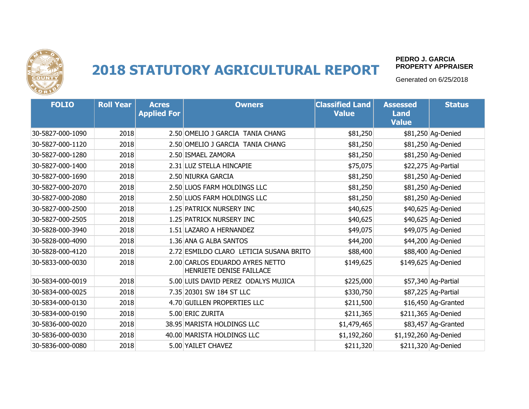

#### **PEDRO J. GARCIA PROPERTY APPRAISER**

| <b>FOLIO</b>     | <b>Roll Year</b> | <b>Acres</b><br><b>Applied For</b> | <b>Owners</b>                                               | <b>Classified Land</b><br><b>Value</b> | <b>Assessed</b><br><b>Land</b><br><b>Value</b> | <b>Status</b>        |
|------------------|------------------|------------------------------------|-------------------------------------------------------------|----------------------------------------|------------------------------------------------|----------------------|
| 30-5827-000-1090 | 2018             |                                    | 2.50 OMELIO J GARCIA TANIA CHANG                            | \$81,250                               |                                                | \$81,250 Ag-Denied   |
| 30-5827-000-1120 | 2018             |                                    | 2.50 OMELIO J GARCIA TANIA CHANG                            | \$81,250                               |                                                | \$81,250 Ag-Denied   |
| 30-5827-000-1280 | 2018             |                                    | 2.50 ISMAEL ZAMORA                                          | \$81,250                               |                                                | \$81,250 Ag-Denied   |
| 30-5827-000-1400 | 2018             |                                    | 2.31 LUZ STELLA HINCAPIE                                    | \$75,075                               |                                                | \$22,275 Ag-Partial  |
| 30-5827-000-1690 | 2018             |                                    | 2.50 NIURKA GARCIA                                          | \$81,250                               |                                                | \$81,250 Ag-Denied   |
| 30-5827-000-2070 | 2018             |                                    | 2.50 LUOS FARM HOLDINGS LLC                                 | \$81,250                               |                                                | \$81,250 Ag-Denied   |
| 30-5827-000-2080 | 2018             |                                    | 2.50 LUOS FARM HOLDINGS LLC                                 | \$81,250                               |                                                | \$81,250 Ag-Denied   |
| 30-5827-000-2500 | 2018             |                                    | 1.25 PATRICK NURSERY INC                                    | \$40,625                               |                                                | \$40,625 Ag-Denied   |
| 30-5827-000-2505 | 2018             |                                    | 1.25 PATRICK NURSERY INC                                    | \$40,625                               |                                                | \$40,625 Ag-Denied   |
| 30-5828-000-3940 | 2018             |                                    | 1.51 LAZARO A HERNANDEZ                                     | \$49,075                               |                                                | \$49,075 Ag-Denied   |
| 30-5828-000-4090 | 2018             |                                    | 1.36 ANA G ALBA SANTOS                                      | \$44,200                               |                                                | \$44,200 Ag-Denied   |
| 30-5828-000-4120 | 2018             |                                    | 2.72 ESMILDO CLARO LETICIA SUSANA BRITO                     | \$88,400                               |                                                | \$88,400 Ag-Denied   |
| 30-5833-000-0030 | 2018             |                                    | 2.00 CARLOS EDUARDO AYRES NETTO<br>HENRIETE DENISE FAILLACE | \$149,625                              |                                                | \$149,625 Ag-Denied  |
| 30-5834-000-0019 | 2018             |                                    | 5.00 LUIS DAVID PEREZ ODALYS MUJICA                         | \$225,000                              |                                                | \$57,340 Ag-Partial  |
| 30-5834-000-0025 | 2018             |                                    | 7.35 20301 SW 184 ST LLC                                    | \$330,750                              |                                                | \$87,225 Ag-Partial  |
| 30-5834-000-0130 | 2018             |                                    | 4.70 GUILLEN PROPERTIES LLC                                 | \$211,500                              |                                                | $$16,450$ Ag-Granted |
| 30-5834-000-0190 | 2018             |                                    | 5.00 ERIC ZURITA                                            | \$211,365                              |                                                | \$211,365 Ag-Denied  |
| 30-5836-000-0020 | 2018             |                                    | 38.95 MARISTA HOLDINGS LLC                                  | \$1,479,465                            |                                                | \$83,457 Ag-Granted  |
| 30-5836-000-0030 | 2018             |                                    | 40.00 MARISTA HOLDINGS LLC                                  | \$1,192,260                            | \$1,192,260 Ag-Denied                          |                      |
| 30-5836-000-0080 | 2018             |                                    | 5.00 YAILET CHAVEZ                                          | \$211,320                              |                                                | \$211,320 Ag-Denied  |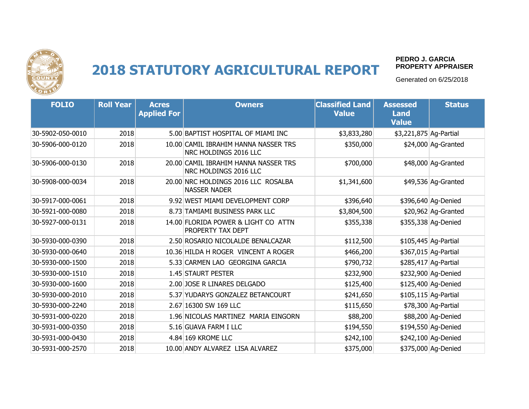

#### **PEDRO J. GARCIA PROPERTY APPRAISER**

| <b>FOLIO</b>     | <b>Roll Year</b> | <b>Acres</b><br><b>Applied For</b> | <b>Owners</b>                                                 | <b>Classified Land</b><br><b>Value</b> | <b>Assessed</b><br><b>Land</b><br><b>Value</b> | <b>Status</b>        |
|------------------|------------------|------------------------------------|---------------------------------------------------------------|----------------------------------------|------------------------------------------------|----------------------|
| 30-5902-050-0010 | 2018             |                                    | 5.00 BAPTIST HOSPITAL OF MIAMI INC                            | \$3,833,280                            | \$3,221,875 Ag-Partial                         |                      |
| 30-5906-000-0120 | 2018             |                                    | 10.00 CAMIL IBRAHIM HANNA NASSER TRS<br>NRC HOLDINGS 2016 LLC | \$350,000                              |                                                | \$24,000 Ag-Granted  |
| 30-5906-000-0130 | 2018             |                                    | 20.00 CAMIL IBRAHIM HANNA NASSER TRS<br>NRC HOLDINGS 2016 LLC | \$700,000                              |                                                | \$48,000 Ag-Granted  |
| 30-5908-000-0034 | 2018             |                                    | 20.00 NRC HOLDINGS 2016 LLC ROSALBA<br><b>NASSER NADER</b>    | \$1,341,600                            |                                                | \$49,536 Ag-Granted  |
| 30-5917-000-0061 | 2018             |                                    | 9.92 WEST MIAMI DEVELOPMENT CORP                              | \$396,640                              |                                                | \$396,640 Ag-Denied  |
| 30-5921-000-0080 | 2018             |                                    | 8.73 TAMIAMI BUSINESS PARK LLC                                | \$3,804,500                            |                                                | $$20,962$ Ag-Granted |
| 30-5927-000-0131 | 2018             |                                    | 14.00 FLORIDA POWER & LIGHT CO ATTN<br>PROPERTY TAX DEPT      | \$355,338                              |                                                | \$355,338 Ag-Denied  |
| 30-5930-000-0390 | 2018             |                                    | 2.50 ROSARIO NICOLALDE BENALCAZAR                             | \$112,500                              |                                                | \$105,445 Ag-Partial |
| 30-5930-000-0640 | 2018             |                                    | 10.36 HILDA H ROGER VINCENT A ROGER                           | \$466,200                              |                                                | \$367,015 Ag-Partial |
| 30-5930-000-1500 | 2018             |                                    | 5.33 CARMEN LAO GEORGINA GARCIA                               | \$790,732                              |                                                | \$285,417 Ag-Partial |
| 30-5930-000-1510 | 2018             |                                    | 1.45 STAURT PESTER                                            | \$232,900                              |                                                | \$232,900 Ag-Denied  |
| 30-5930-000-1600 | 2018             |                                    | 2.00 JOSE R LINARES DELGADO                                   | \$125,400                              |                                                | \$125,400 Ag-Denied  |
| 30-5930-000-2010 | 2018             |                                    | 5.37 YUDARYS GONZALEZ BETANCOURT                              | \$241,650                              |                                                | \$105,115 Ag-Partial |
| 30-5930-000-2240 | 2018             |                                    | 2.67 16300 SW 169 LLC                                         | \$115,650                              |                                                | \$78,300 Ag-Partial  |
| 30-5931-000-0220 | 2018             |                                    | 1.96 NICOLAS MARTINEZ MARIA EINGORN                           | \$88,200                               |                                                | \$88,200 Ag-Denied   |
| 30-5931-000-0350 | 2018             |                                    | 5.16 GUAVA FARM I LLC                                         | \$194,550                              |                                                | \$194,550 Ag-Denied  |
| 30-5931-000-0430 | 2018             |                                    | 4.84 169 KROME LLC                                            | \$242,100                              |                                                | \$242,100 Ag-Denied  |
| 30-5931-000-2570 | 2018             |                                    | 10.00 ANDY ALVAREZ LISA ALVAREZ                               | \$375,000                              |                                                | \$375,000 Ag-Denied  |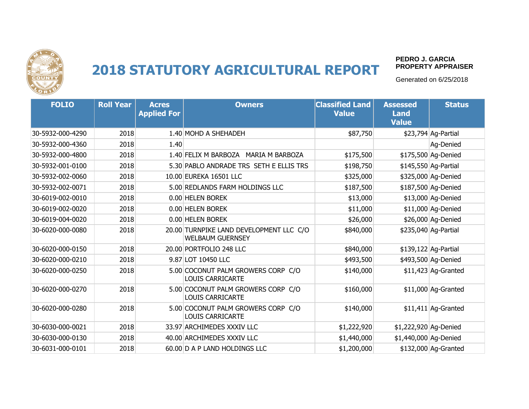

#### **PEDRO J. GARCIA PROPERTY APPRAISER**

| <b>FOLIO</b>     | <b>Roll Year</b> | <b>Acres</b><br><b>Applied For</b> | <b>Owners</b>                                                      | <b>Classified Land</b><br><b>Value</b> | <b>Assessed</b><br><b>Land</b><br><b>Value</b> | <b>Status</b>        |
|------------------|------------------|------------------------------------|--------------------------------------------------------------------|----------------------------------------|------------------------------------------------|----------------------|
| 30-5932-000-4290 | 2018             |                                    | 1.40 MOHD A SHEHADEH                                               | \$87,750                               |                                                | \$23,794 Ag-Partial  |
| 30-5932-000-4360 | 2018             | 1.40                               |                                                                    |                                        |                                                | Ag-Denied            |
| 30-5932-000-4800 | 2018             |                                    | 1.40 FELIX M BARBOZA MARIA M BARBOZA                               | \$175,500                              |                                                | \$175,500 Ag-Denied  |
| 30-5932-001-0100 | 2018             |                                    | 5.30 PABLO ANDRADE TRS SETH E ELLIS TRS                            | \$198,750                              |                                                | \$145,550 Ag-Partial |
| 30-5932-002-0060 | 2018             |                                    | 10.00 EUREKA 16501 LLC                                             | \$325,000                              |                                                | \$325,000 Ag-Denied  |
| 30-5932-002-0071 | 2018             |                                    | 5.00 REDLANDS FARM HOLDINGS LLC                                    | \$187,500                              |                                                | \$187,500 Ag-Denied  |
| 30-6019-002-0010 | 2018             |                                    | 0.00 HELEN BOREK                                                   | \$13,000                               |                                                | \$13,000 Ag-Denied   |
| 30-6019-002-0020 | 2018             |                                    | 0.00 HELEN BOREK                                                   | \$11,000                               |                                                | \$11,000 Ag-Denied   |
| 30-6019-004-0020 | 2018             |                                    | 0.00 HELEN BOREK                                                   | \$26,000                               |                                                | \$26,000 Ag-Denied   |
| 30-6020-000-0080 | 2018             |                                    | 20.00 TURNPIKE LAND DEVELOPMENT LLC C/O<br><b>WELBAUM GUERNSEY</b> | \$840,000                              |                                                | \$235,040 Ag-Partial |
| 30-6020-000-0150 | 2018             |                                    | 20.00 PORTFOLIO 248 LLC                                            | \$840,000                              |                                                | \$139,122 Ag-Partial |
| 30-6020-000-0210 | 2018             |                                    | 9.87 LOT 10450 LLC                                                 | \$493,500                              |                                                | \$493,500 Ag-Denied  |
| 30-6020-000-0250 | 2018             |                                    | 5.00 COCONUT PALM GROWERS CORP C/O<br><b>LOUIS CARRICARTE</b>      | \$140,000                              |                                                | $$11,423$ Ag-Granted |
| 30-6020-000-0270 | 2018             |                                    | 5.00 COCONUT PALM GROWERS CORP C/O<br><b>LOUIS CARRICARTE</b>      | \$160,000                              |                                                | \$11,000 Ag-Granted  |
| 30-6020-000-0280 | 2018             |                                    | 5.00 COCONUT PALM GROWERS CORP C/O<br><b>LOUIS CARRICARTE</b>      | \$140,000                              |                                                | $$11,411$ Ag-Granted |
| 30-6030-000-0021 | 2018             |                                    | 33.97 ARCHIMEDES XXXIV LLC                                         | \$1,222,920                            | \$1,222,920 Ag-Denied                          |                      |
| 30-6030-000-0130 | 2018             |                                    | 40.00 ARCHIMEDES XXXIV LLC                                         | \$1,440,000                            | \$1,440,000 Ag-Denied                          |                      |
| 30-6031-000-0101 | 2018             |                                    | 60.00 D A P LAND HOLDINGS LLC                                      | \$1,200,000                            |                                                | \$132,000 Ag-Granted |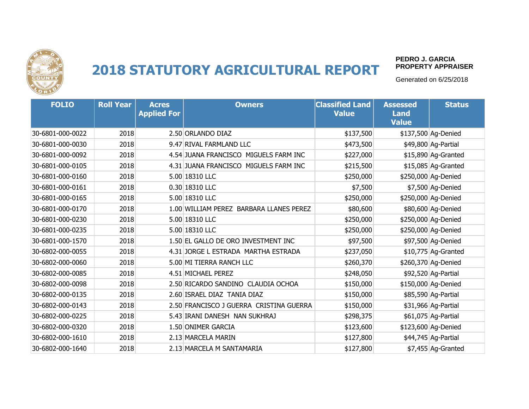

#### **PEDRO J. GARCIA PROPERTY APPRAISER**

| <b>FOLIO</b>     | <b>Roll Year</b> | <b>Acres</b><br><b>Applied For</b> | <b>Owners</b>                           | <b>Classified Land</b><br><b>Value</b> | <b>Assessed</b><br><b>Land</b><br><b>Value</b> | <b>Status</b>       |
|------------------|------------------|------------------------------------|-----------------------------------------|----------------------------------------|------------------------------------------------|---------------------|
| 30-6801-000-0022 | 2018             |                                    | 2.50 ORLANDO DIAZ                       | \$137,500                              |                                                | \$137,500 Ag-Denied |
| 30-6801-000-0030 | 2018             |                                    | 9.47 RIVAL FARMLAND LLC                 | \$473,500                              |                                                | \$49,800 Ag-Partial |
| 30-6801-000-0092 | 2018             |                                    | 4.54 JUANA FRANCISCO MIGUELS FARM INC   | \$227,000                              |                                                | \$15,890 Ag-Granted |
| 30-6801-000-0105 | 2018             |                                    | 4.31 JUANA FRANCISCO MIGUELS FARM INC   | \$215,500                              |                                                | \$15,085 Ag-Granted |
| 30-6801-000-0160 | 2018             |                                    | 5.00 18310 LLC                          | \$250,000                              |                                                | \$250,000 Ag-Denied |
| 30-6801-000-0161 | 2018             |                                    | 0.30 18310 LLC                          | \$7,500                                |                                                | \$7,500 Ag-Denied   |
| 30-6801-000-0165 | 2018             |                                    | 5.00 18310 LLC                          | \$250,000                              |                                                | \$250,000 Ag-Denied |
| 30-6801-000-0170 | 2018             |                                    | 1.00 WILLIAM PEREZ BARBARA LLANES PEREZ | \$80,600                               |                                                | \$80,600 Ag-Denied  |
| 30-6801-000-0230 | 2018             |                                    | 5.00 18310 LLC                          | \$250,000                              |                                                | \$250,000 Ag-Denied |
| 30-6801-000-0235 | 2018             |                                    | 5.00 18310 LLC                          | \$250,000                              |                                                | \$250,000 Ag-Denied |
| 30-6801-000-1570 | 2018             |                                    | 1.50 EL GALLO DE ORO INVESTMENT INC     | \$97,500                               |                                                | \$97,500 Ag-Denied  |
| 30-6802-000-0055 | 2018             |                                    | 4.31 JORGE L ESTRADA MARTHA ESTRADA     | \$237,050                              |                                                | \$10,775 Ag-Granted |
| 30-6802-000-0060 | 2018             |                                    | 5.00 MI TIERRA RANCH LLC                | \$260,370                              |                                                | \$260,370 Ag-Denied |
| 30-6802-000-0085 | 2018             |                                    | 4.51 MICHAEL PEREZ                      | \$248,050                              |                                                | \$92,520 Ag-Partial |
| 30-6802-000-0098 | 2018             |                                    | 2.50 RICARDO SANDINO CLAUDIA OCHOA      | \$150,000                              |                                                | \$150,000 Ag-Denied |
| 30-6802-000-0135 | 2018             |                                    | 2.60 ISRAEL DIAZ TANIA DIAZ             | \$150,000                              |                                                | \$85,590 Ag-Partial |
| 30-6802-000-0143 | 2018             |                                    | 2.50 FRANCISCO J GUERRA CRISTINA GUERRA | \$150,000                              |                                                | \$31,966 Ag-Partial |
| 30-6802-000-0225 | 2018             |                                    | 5.43 IRANI DANESH NAN SUKHRAJ           | \$298,375                              |                                                | \$61,075 Ag-Partial |
| 30-6802-000-0320 | 2018             |                                    | 1.50 ONIMER GARCIA                      | \$123,600                              |                                                | \$123,600 Ag-Denied |
| 30-6802-000-1610 | 2018             |                                    | 2.13 MARCELA MARIN                      | \$127,800                              |                                                | \$44,745 Ag-Partial |
| 30-6802-000-1640 | 2018             |                                    | 2.13 MARCELA M SANTAMARIA               | \$127,800                              |                                                | \$7,455 Aq-Granted  |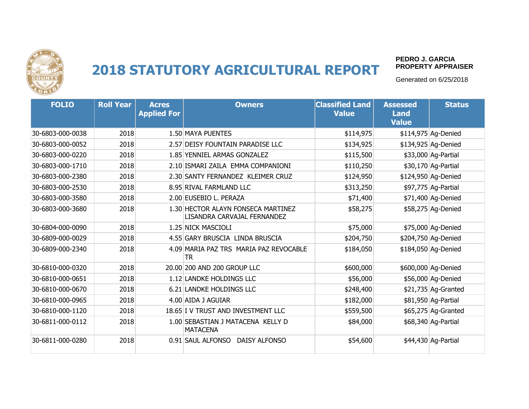

#### **PEDRO J. GARCIA PROPERTY APPRAISER**

| <b>FOLIO</b>     | <b>Roll Year</b> | <b>Acres</b><br><b>Applied For</b> | <b>Owners</b>                                                     | <b>Classified Land</b><br><b>Value</b> | <b>Assessed</b><br><b>Land</b><br><b>Value</b> | <b>Status</b>       |
|------------------|------------------|------------------------------------|-------------------------------------------------------------------|----------------------------------------|------------------------------------------------|---------------------|
| 30-6803-000-0038 | 2018             |                                    | 1.50 MAYA PUENTES                                                 | \$114,975                              |                                                | \$114,975 Ag-Denied |
| 30-6803-000-0052 | 2018             |                                    | 2.57 DEISY FOUNTAIN PARADISE LLC                                  | \$134,925                              |                                                | \$134,925 Ag-Denied |
| 30-6803-000-0220 | 2018             |                                    | 1.85 YENNIEL ARMAS GONZALEZ                                       | \$115,500                              |                                                | \$33,000 Ag-Partial |
| 30-6803-000-1710 | 2018             |                                    | 2.10 ISMARI ZAILA EMMA COMPANIONI                                 | \$110,250                              |                                                | \$30,170 Ag-Partial |
| 30-6803-000-2380 | 2018             |                                    | 2.30 SANTY FERNANDEZ KLEIMER CRUZ                                 | \$124,950                              |                                                | \$124,950 Ag-Denied |
| 30-6803-000-2530 | 2018             |                                    | 8.95 RIVAL FARMLAND LLC                                           | \$313,250                              |                                                | \$97,775 Ag-Partial |
| 30-6803-000-3580 | 2018             |                                    | 2.00 EUSEBIO L. PERAZA                                            | \$71,400                               |                                                | \$71,400 Ag-Denied  |
| 30-6803-000-3680 | 2018             |                                    | 1.30 HECTOR ALAYN FONSECA MARTINEZ<br>LISANDRA CARVAJAL FERNANDEZ | \$58,275                               |                                                | \$58,275 Ag-Denied  |
| 30-6804-000-0090 | 2018             |                                    | 1.25 NICK MASCIOLI                                                | \$75,000                               |                                                | \$75,000 Ag-Denied  |
| 30-6809-000-0029 | 2018             |                                    | 4.55 GARY BRUSCIA LINDA BRUSCIA                                   | \$204,750                              |                                                | \$204,750 Ag-Denied |
| 30-6809-000-2340 | 2018             |                                    | 4.09 MARIA PAZ TRS MARIA PAZ REVOCABLE<br><b>TR</b>               | \$184,050                              |                                                | \$184,050 Ag-Denied |
| 30-6810-000-0320 | 2018             |                                    | 20.00 200 AND 200 GROUP LLC                                       | \$600,000                              |                                                | \$600,000 Ag-Denied |
| 30-6810-000-0651 | 2018             |                                    | 1.12 LANDKE HOLDINGS LLC                                          | \$56,000                               |                                                | \$56,000 Ag-Denied  |
| 30-6810-000-0670 | 2018             |                                    | 6.21 LANDKE HOLDINGS LLC                                          | \$248,400                              |                                                | \$21,735 Ag-Granted |
| 30-6810-000-0965 | 2018             |                                    | 4.00 AIDA J AGUIAR                                                | \$182,000                              |                                                | \$81,950 Ag-Partial |
| 30-6810-000-1120 | 2018             |                                    | 18.65 I V TRUST AND INVESTMENT LLC                                | \$559,500                              |                                                | \$65,275 Ag-Granted |
| 30-6811-000-0112 | 2018             |                                    | 1.00 SEBASTIAN J MATACENA KELLY D<br><b>MATACENA</b>              | \$84,000                               |                                                | \$68,340 Ag-Partial |
| 30-6811-000-0280 | 2018             |                                    | 0.91 SAUL ALFONSO DAISY ALFONSO                                   | \$54,600                               |                                                | \$44,430 Ag-Partial |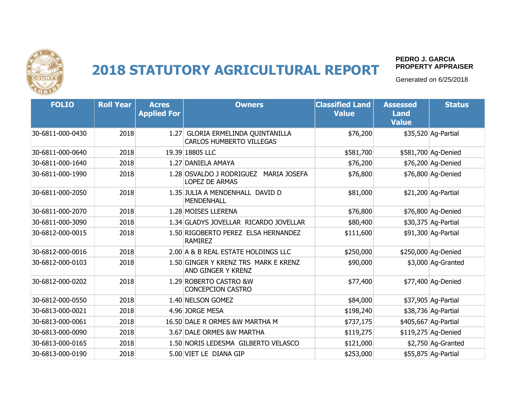

#### **PEDRO J. GARCIA PROPERTY APPRAISER**

| <b>FOLIO</b>     | <b>Roll Year</b> | <b>Acres</b><br><b>Applied For</b> | <b>Owners</b>                                                            | <b>Classified Land</b><br><b>Value</b> | <b>Assessed</b><br><b>Land</b><br><b>Value</b> | <b>Status</b>        |
|------------------|------------------|------------------------------------|--------------------------------------------------------------------------|----------------------------------------|------------------------------------------------|----------------------|
| 30-6811-000-0430 | 2018             | 1.27                               | GLORIA ERMELINDA QUINTANILLA<br><b>CARLOS HUMBERTO VILLEGAS</b>          | \$76,200                               |                                                | \$35,520 Ag-Partial  |
| 30-6811-000-0640 | 2018             |                                    | 19.39 18805 LLC                                                          | \$581,700                              |                                                | \$581,700 Ag-Denied  |
| 30-6811-000-1640 | 2018             |                                    | 1.27 DANIELA AMAYA                                                       | \$76,200                               |                                                | \$76,200 Ag-Denied   |
| 30-6811-000-1990 | 2018             |                                    | 1.28 OSVALDO J RODRIGUEZ<br><b>MARIA JOSEFA</b><br><b>LOPEZ DE ARMAS</b> | \$76,800                               |                                                | \$76,800 Ag-Denied   |
| 30-6811-000-2050 | 2018             |                                    | 1.35 JULIA A MENDENHALL DAVID D<br><b>MENDENHALL</b>                     | \$81,000                               |                                                | \$21,200 Ag-Partial  |
| 30-6811-000-2070 | 2018             |                                    | 1.28 MOISES LLERENA                                                      | \$76,800                               |                                                | \$76,800 Ag-Denied   |
| 30-6811-000-3090 | 2018             |                                    | 1.34 GLADYS JOVELLAR RICARDO JOVELLAR                                    | \$80,400                               |                                                | \$30,375 Ag-Partial  |
| 30-6812-000-0015 | 2018             |                                    | 1.50 RIGOBERTO PEREZ ELSA HERNANDEZ<br><b>RAMIREZ</b>                    | \$111,600                              |                                                | \$91,300 Ag-Partial  |
| 30-6812-000-0016 | 2018             |                                    | 2.00 A & B REAL ESTATE HOLDINGS LLC                                      | \$250,000                              |                                                | \$250,000 Ag-Denied  |
| 30-6812-000-0103 | 2018             |                                    | 1.50 GINGER Y KRENZ TRS MARK E KRENZ<br>AND GINGER Y KRENZ               | \$90,000                               |                                                | \$3,000 Ag-Granted   |
| 30-6812-000-0202 | 2018             |                                    | 1.29 ROBERTO CASTRO &W<br><b>CONCEPCION CASTRO</b>                       | \$77,400                               |                                                | \$77,400 Ag-Denied   |
| 30-6812-000-0550 | 2018             |                                    | 1.40 NELSON GOMEZ                                                        | \$84,000                               |                                                | \$37,905 Ag-Partial  |
| 30-6813-000-0021 | 2018             |                                    | 4.96 JORGE MESA                                                          | \$198,240                              |                                                | \$38,736 Ag-Partial  |
| 30-6813-000-0061 | 2018             |                                    | 16.50 DALE R ORMES & W MARTHA M                                          | \$737,175                              |                                                | \$405,667 Ag-Partial |
| 30-6813-000-0090 | 2018             |                                    | 3.67 DALE ORMES &W MARTHA                                                | \$119,275                              |                                                | \$119,275 Ag-Denied  |
| 30-6813-000-0165 | 2018             |                                    | 1.50 NORIS LEDESMA GILBERTO VELASCO                                      | \$121,000                              |                                                | \$2,750 Ag-Granted   |
| 30-6813-000-0190 | 2018             |                                    | 5.00 VIET LE DIANA GIP                                                   | \$253,000                              |                                                | \$55,875 Ag-Partial  |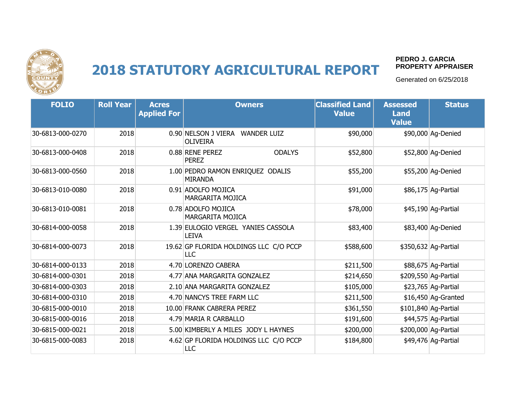

#### **PEDRO J. GARCIA PROPERTY APPRAISER**

| <b>FOLIO</b>     | <b>Roll Year</b> | <b>Acres</b><br><b>Applied For</b> | <b>Owners</b>                                                | <b>Classified Land</b><br><b>Value</b> | <b>Assessed</b><br><b>Land</b><br><b>Value</b> | <b>Status</b>        |
|------------------|------------------|------------------------------------|--------------------------------------------------------------|----------------------------------------|------------------------------------------------|----------------------|
| 30-6813-000-0270 | 2018             |                                    | 0.90 NELSON J VIERA<br><b>WANDER LUIZ</b><br><b>OLIVEIRA</b> | \$90,000                               |                                                | \$90,000 Ag-Denied   |
| 30-6813-000-0408 | 2018             |                                    | 0.88 RENE PEREZ<br><b>ODALYS</b><br><b>PEREZ</b>             | \$52,800                               |                                                | \$52,800 Ag-Denied   |
| 30-6813-000-0560 | 2018             |                                    | 1.00 PEDRO RAMON ENRIQUEZ ODALIS<br><b>MIRANDA</b>           | \$55,200                               |                                                | \$55,200 Ag-Denied   |
| 30-6813-010-0080 | 2018             |                                    | 0.91 ADOLFO MOJICA<br>MARGARITA MOJICA                       | \$91,000                               |                                                | \$86,175 Ag-Partial  |
| 30-6813-010-0081 | 2018             |                                    | 0.78 ADOLFO MOJICA<br><b>MARGARITA MOJICA</b>                | \$78,000                               |                                                | \$45,190 Ag-Partial  |
| 30-6814-000-0058 | 2018             |                                    | 1.39 EULOGIO VERGEL YANIES CASSOLA<br><b>LEIVA</b>           | \$83,400                               |                                                | \$83,400 Ag-Denied   |
| 30-6814-000-0073 | 2018             |                                    | 19.62 GP FLORIDA HOLDINGS LLC C/O PCCP<br><b>LLC</b>         | \$588,600                              |                                                | \$350,632 Ag-Partial |
| 30-6814-000-0133 | 2018             |                                    | 4.70 LORENZO CABERA                                          | \$211,500                              |                                                | \$88,675 Ag-Partial  |
| 30-6814-000-0301 | 2018             |                                    | 4.77 ANA MARGARITA GONZALEZ                                  | \$214,650                              |                                                | \$209,550 Ag-Partial |
| 30-6814-000-0303 | 2018             |                                    | 2.10 ANA MARGARITA GONZALEZ                                  | \$105,000                              |                                                | \$23,765 Ag-Partial  |
| 30-6814-000-0310 | 2018             |                                    | 4.70 NANCYS TREE FARM LLC                                    | \$211,500                              |                                                | $$16,450$ Ag-Granted |
| 30-6815-000-0010 | 2018             |                                    | 10.00 FRANK CABRERA PEREZ                                    | \$361,550                              |                                                | \$101,840 Ag-Partial |
| 30-6815-000-0016 | 2018             |                                    | 4.79 MARIA R CARBALLO                                        | \$191,600                              |                                                | \$44,575 Ag-Partial  |
| 30-6815-000-0021 | 2018             |                                    | 5.00 KIMBERLY A MILES JODY L HAYNES                          | \$200,000                              |                                                | \$200,000 Ag-Partial |
| 30-6815-000-0083 | 2018             |                                    | 4.62 GP FLORIDA HOLDINGS LLC C/O PCCP<br>LLC                 | \$184,800                              |                                                | \$49,476 Ag-Partial  |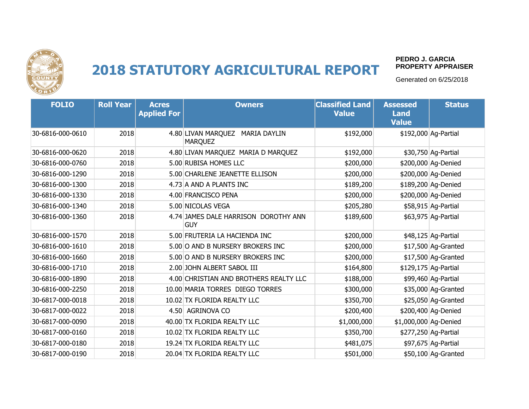

#### **PEDRO J. GARCIA PROPERTY APPRAISER**

| <b>FOLIO</b>     | <b>Roll Year</b> | <b>Acres</b><br><b>Applied For</b> | <b>Owners</b>                                               | <b>Classified Land</b><br><b>Value</b> | <b>Assessed</b><br><b>Land</b><br><b>Value</b> | <b>Status</b>        |
|------------------|------------------|------------------------------------|-------------------------------------------------------------|----------------------------------------|------------------------------------------------|----------------------|
| 30-6816-000-0610 | 2018             |                                    | 4.80 LIVAN MARQUEZ<br><b>MARIA DAYLIN</b><br><b>MARQUEZ</b> | \$192,000                              |                                                | \$192,000 Ag-Partial |
| 30-6816-000-0620 | 2018             |                                    | 4.80 LIVAN MARQUEZ MARIA D MARQUEZ                          | \$192,000                              |                                                | \$30,750 Ag-Partial  |
| 30-6816-000-0760 | 2018             |                                    | 5.00 RUBISA HOMES LLC                                       | \$200,000                              |                                                | \$200,000 Ag-Denied  |
| 30-6816-000-1290 | 2018             |                                    | 5.00 CHARLENE JEANETTE ELLISON                              | \$200,000                              |                                                | \$200,000 Ag-Denied  |
| 30-6816-000-1300 | 2018             |                                    | 4.73 A AND A PLANTS INC                                     | \$189,200                              |                                                | \$189,200 Ag-Denied  |
| 30-6816-000-1330 | 2018             |                                    | 4.00 FRANCISCO PENA                                         | \$200,000                              |                                                | \$200,000 Ag-Denied  |
| 30-6816-000-1340 | 2018             |                                    | 5.00 NICOLAS VEGA                                           | \$205,280                              |                                                | \$58,915 Ag-Partial  |
| 30-6816-000-1360 | 2018             |                                    | 4.74 JAMES DALE HARRISON DOROTHY ANN<br><b>GUY</b>          | \$189,600                              |                                                | \$63,975 Ag-Partial  |
| 30-6816-000-1570 | 2018             |                                    | 5.00 FRUTERIA LA HACIENDA INC                               | \$200,000                              |                                                | \$48,125 Ag-Partial  |
| 30-6816-000-1610 | 2018             |                                    | 5.00 O AND B NURSERY BROKERS INC                            | \$200,000                              |                                                | \$17,500 Ag-Granted  |
| 30-6816-000-1660 | 2018             |                                    | 5.00 O AND B NURSERY BROKERS INC                            | \$200,000                              |                                                | \$17,500 Ag-Granted  |
| 30-6816-000-1710 | 2018             |                                    | 2.00 JOHN ALBERT SABOL III                                  | \$164,800                              |                                                | \$129,175 Ag-Partial |
| 30-6816-000-1890 | 2018             |                                    | 4.00 CHRISTIAN AND BROTHERS REALTY LLC                      | \$188,000                              |                                                | \$99,460 Ag-Partial  |
| 30-6816-000-2250 | 2018             |                                    | 10.00 MARIA TORRES DIEGO TORRES                             | \$300,000                              |                                                | \$35,000 Ag-Granted  |
| 30-6817-000-0018 | 2018             |                                    | 10.02 TX FLORIDA REALTY LLC                                 | \$350,700                              |                                                | \$25,050 Ag-Granted  |
| 30-6817-000-0022 | 2018             |                                    | 4.50 AGRINOVA CO                                            | \$200,400                              |                                                | \$200,400 Ag-Denied  |
| 30-6817-000-0090 | 2018             |                                    | 40.00 TX FLORIDA REALTY LLC                                 | \$1,000,000                            | \$1,000,000 Ag-Denied                          |                      |
| 30-6817-000-0160 | 2018             |                                    | 10.02 TX FLORIDA REALTY LLC                                 | \$350,700                              |                                                | \$277,250 Ag-Partial |
| 30-6817-000-0180 | 2018             |                                    | 19.24 TX FLORIDA REALTY LLC                                 | \$481,075                              |                                                | \$97,675 Ag-Partial  |
| 30-6817-000-0190 | 2018             |                                    | 20.04 TX FLORIDA REALTY LLC                                 | \$501,000                              |                                                | \$50,100 Aq-Granted  |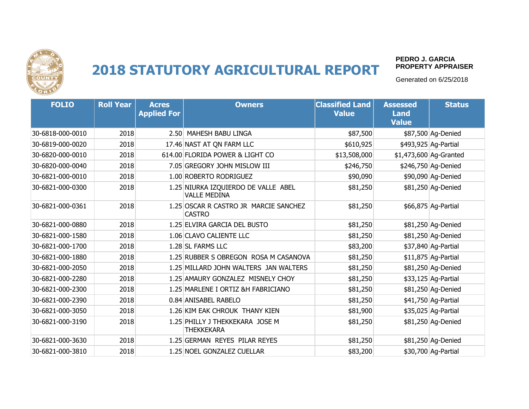

#### **PEDRO J. GARCIA PROPERTY APPRAISER**

| <b>FOLIO</b>     | <b>Roll Year</b> | <b>Acres</b><br><b>Applied For</b> | <b>Owners</b>                                              | <b>Classified Land</b><br><b>Value</b> | <b>Assessed</b><br><b>Land</b><br><b>Value</b> | <b>Status</b>          |
|------------------|------------------|------------------------------------|------------------------------------------------------------|----------------------------------------|------------------------------------------------|------------------------|
| 30-6818-000-0010 | 2018             |                                    | 2.50 MAHESH BABU LINGA                                     | \$87,500                               |                                                | \$87,500 Ag-Denied     |
| 30-6819-000-0020 | 2018             |                                    | 17.46 NAST AT QN FARM LLC                                  | \$610,925                              |                                                | \$493,925 Ag-Partial   |
| 30-6820-000-0010 | 2018             |                                    | 614.00 FLORIDA POWER & LIGHT CO                            | \$13,508,000                           |                                                | \$1,473,600 Ag-Granted |
| 30-6820-000-0040 | 2018             |                                    | 7.05 GREGORY JOHN MISLOW III                               | \$246,750                              |                                                | \$246,750 Ag-Denied    |
| 30-6821-000-0010 | 2018             |                                    | 1.00 ROBERTO RODRIGUEZ                                     | \$90,090                               |                                                | \$90,090 Ag-Denied     |
| 30-6821-000-0300 | 2018             |                                    | 1.25 NIURKA IZQUIERDO DE VALLE ABEL<br><b>VALLE MEDINA</b> | \$81,250                               |                                                | \$81,250 Ag-Denied     |
| 30-6821-000-0361 | 2018             |                                    | 1.25 OSCAR R CASTRO JR MARCIE SANCHEZ<br><b>CASTRO</b>     | \$81,250                               |                                                | \$66,875 Ag-Partial    |
| 30-6821-000-0880 | 2018             |                                    | 1.25 ELVIRA GARCIA DEL BUSTO                               | \$81,250                               |                                                | \$81,250 Ag-Denied     |
| 30-6821-000-1580 | 2018             |                                    | 1.06 CLAVO CALIENTE LLC                                    | \$81,250                               |                                                | \$81,250 Ag-Denied     |
| 30-6821-000-1700 | 2018             |                                    | 1.28 SL FARMS LLC                                          | \$83,200                               |                                                | \$37,840 Ag-Partial    |
| 30-6821-000-1880 | 2018             |                                    | 1.25 RUBBER S OBREGON ROSA M CASANOVA                      | \$81,250                               |                                                | $$11,875$ Ag-Partial   |
| 30-6821-000-2050 | 2018             |                                    | 1.25 MILLARD JOHN WALTERS JAN WALTERS                      | \$81,250                               |                                                | \$81,250 Ag-Denied     |
| 30-6821-000-2280 | 2018             |                                    | 1.25 AMAURY GONZALEZ MISNELY CHOY                          | \$81,250                               |                                                | \$33,125 Ag-Partial    |
| 30-6821-000-2300 | 2018             |                                    | 1.25 MARLENE I ORTIZ &H FABRICIANO                         | \$81,250                               |                                                | \$81,250 Ag-Denied     |
| 30-6821-000-2390 | 2018             |                                    | 0.84 ANISABEL RABELO                                       | \$81,250                               |                                                | \$41,750 Ag-Partial    |
| 30-6821-000-3050 | 2018             |                                    | 1.26 KIM EAK CHROUK THANY KIEN                             | \$81,900                               |                                                | \$35,025 Ag-Partial    |
| 30-6821-000-3190 | 2018             |                                    | 1.25 PHILLY J THEKKEKARA JOSE M<br><b>THEKKEKARA</b>       | \$81,250                               |                                                | \$81,250 Ag-Denied     |
| 30-6821-000-3630 | 2018             |                                    | 1.25 GERMAN REYES PILAR REYES                              | \$81,250                               |                                                | \$81,250 Ag-Denied     |
| 30-6821-000-3810 | 2018             |                                    | 1.25 NOEL GONZALEZ CUELLAR                                 | \$83,200                               |                                                | \$30,700 Ag-Partial    |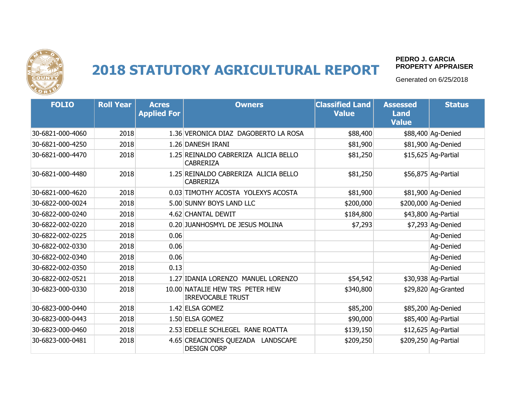

#### **PEDRO J. GARCIA PROPERTY APPRAISER**

| <b>FOLIO</b>     | <b>Roll Year</b> | <b>Acres</b><br><b>Applied For</b> | <b>Owners</b>                                               | <b>Classified Land</b><br><b>Value</b> | <b>Assessed</b><br><b>Land</b><br><b>Value</b> | <b>Status</b>        |
|------------------|------------------|------------------------------------|-------------------------------------------------------------|----------------------------------------|------------------------------------------------|----------------------|
| 30-6821-000-4060 | 2018             |                                    | 1.36 VERONICA DIAZ DAGOBERTO LA ROSA                        | \$88,400                               |                                                | \$88,400 Ag-Denied   |
| 30-6821-000-4250 | 2018             |                                    | 1.26 DANESH IRANI                                           | \$81,900                               |                                                | \$81,900 Ag-Denied   |
| 30-6821-000-4470 | 2018             |                                    | 1.25 REINALDO CABRERIZA ALICIA BELLO<br><b>CABRERIZA</b>    | \$81,250                               |                                                | \$15,625 Ag-Partial  |
| 30-6821-000-4480 | 2018             |                                    | 1.25 REINALDO CABRERIZA ALICIA BELLO<br><b>CABRERIZA</b>    | \$81,250                               |                                                | \$56,875 Ag-Partial  |
| 30-6821-000-4620 | 2018             |                                    | 0.03 TIMOTHY ACOSTA YOLEXYS ACOSTA                          | \$81,900                               |                                                | \$81,900 Ag-Denied   |
| 30-6822-000-0024 | 2018             |                                    | 5.00 SUNNY BOYS LAND LLC                                    | \$200,000                              |                                                | \$200,000 Ag-Denied  |
| 30-6822-000-0240 | 2018             |                                    | 4.62 CHANTAL DEWIT                                          | \$184,800                              |                                                | \$43,800 Ag-Partial  |
| 30-6822-002-0220 | 2018             |                                    | 0.20 JUANHOSMYL DE JESUS MOLINA                             | \$7,293                                |                                                | \$7,293 Ag-Denied    |
| 30-6822-002-0225 | 2018             | 0.06                               |                                                             |                                        |                                                | Ag-Denied            |
| 30-6822-002-0330 | 2018             | 0.06                               |                                                             |                                        |                                                | Ag-Denied            |
| 30-6822-002-0340 | 2018             | 0.06                               |                                                             |                                        |                                                | Ag-Denied            |
| 30-6822-002-0350 | 2018             | 0.13                               |                                                             |                                        |                                                | Aq-Denied            |
| 30-6822-002-0521 | 2018             |                                    | 1.27 IDANIA LORENZO MANUEL LORENZO                          | \$54,542                               |                                                | \$30,938 Ag-Partial  |
| 30-6823-000-0330 | 2018             |                                    | 10.00 NATALIE HEW TRS PETER HEW<br><b>IRREVOCABLE TRUST</b> | \$340,800                              |                                                | \$29,820 Ag-Granted  |
| 30-6823-000-0440 | 2018             |                                    | 1.42 ELSA GOMEZ                                             | \$85,200                               |                                                | \$85,200 Ag-Denied   |
| 30-6823-000-0443 | 2018             |                                    | 1.50 ELSA GOMEZ                                             | \$90,000                               |                                                | \$85,400 Ag-Partial  |
| 30-6823-000-0460 | 2018             |                                    | 2.53 EDELLE SCHLEGEL RANE ROATTA                            | \$139,150                              |                                                | $$12,625$ Ag-Partial |
| 30-6823-000-0481 | 2018             |                                    | 4.65 CREACIONES QUEZADA LANDSCAPE<br><b>DESIGN CORP</b>     | \$209,250                              |                                                | \$209,250 Ag-Partial |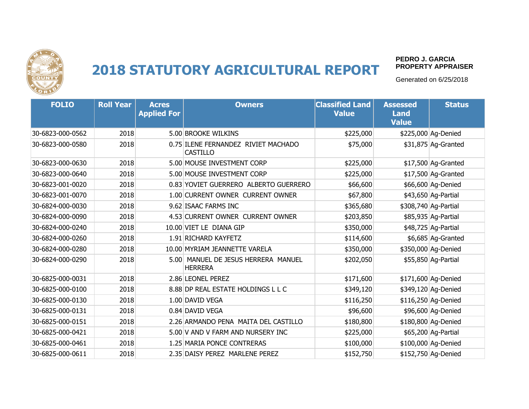

#### **PEDRO J. GARCIA PROPERTY APPRAISER**

| <b>FOLIO</b>     | <b>Roll Year</b> | <b>Acres</b><br><b>Applied For</b> | <b>Owners</b>                                          | <b>Classified Land</b><br><b>Value</b> | <b>Assessed</b><br><b>Land</b><br><b>Value</b> | <b>Status</b>        |
|------------------|------------------|------------------------------------|--------------------------------------------------------|----------------------------------------|------------------------------------------------|----------------------|
| 30-6823-000-0562 | 2018             |                                    | 5.00 BROOKE WILKINS                                    | \$225,000                              |                                                | \$225,000 Ag-Denied  |
| 30-6823-000-0580 | 2018             |                                    | 0.75 ILENE FERNANDEZ RIVIET MACHADO<br><b>CASTILLO</b> | \$75,000                               |                                                | \$31,875 Ag-Granted  |
| 30-6823-000-0630 | 2018             |                                    | 5.00 MOUSE INVESTMENT CORP                             | \$225,000                              |                                                | \$17,500 Ag-Granted  |
| 30-6823-000-0640 | 2018             |                                    | 5.00 MOUSE INVESTMENT CORP                             | \$225,000                              |                                                | \$17,500 Ag-Granted  |
| 30-6823-001-0020 | 2018             |                                    | 0.83 YOVIET GUERRERO ALBERTO GUERRERO                  | \$66,600                               |                                                | \$66,600 Ag-Denied   |
| 30-6823-001-0070 | 2018             |                                    | 1.00 CURRENT OWNER CURRENT OWNER                       | \$67,800                               |                                                | \$43,650 Ag-Partial  |
| 30-6824-000-0030 | 2018             |                                    | 9.62 ISAAC FARMS INC                                   | \$365,680                              |                                                | \$308,740 Ag-Partial |
| 30-6824-000-0090 | 2018             |                                    | 4.53 CURRENT OWNER CURRENT OWNER                       | \$203,850                              |                                                | \$85,935 Ag-Partial  |
| 30-6824-000-0240 | 2018             |                                    | 10.00 VIET LE DIANA GIP                                | \$350,000                              |                                                | \$48,725 Ag-Partial  |
| 30-6824-000-0260 | 2018             |                                    | 1.91 RICHARD KAYFETZ                                   | \$114,600                              |                                                | \$6,685 Ag-Granted   |
| 30-6824-000-0280 | 2018             |                                    | 10.00 MYRIAM JEANNETTE VARELA                          | \$350,000                              |                                                | \$350,000 Ag-Denied  |
| 30-6824-000-0290 | 2018             |                                    | 5.00 MANUEL DE JESUS HERRERA MANUEL<br><b>HERRERA</b>  | \$202,050                              |                                                | \$55,850 Ag-Partial  |
| 30-6825-000-0031 | 2018             |                                    | 2.86 LEONEL PEREZ                                      | \$171,600                              |                                                | \$171,600 Ag-Denied  |
| 30-6825-000-0100 | 2018             |                                    | 8.88 DP REAL ESTATE HOLDINGS L L C                     | \$349,120                              |                                                | \$349,120 Ag-Denied  |
| 30-6825-000-0130 | 2018             |                                    | 1.00 DAVID VEGA                                        | \$116,250                              |                                                | \$116,250 Ag-Denied  |
| 30-6825-000-0131 | 2018             |                                    | 0.84 DAVID VEGA                                        | \$96,600                               |                                                | \$96,600 Ag-Denied   |
| 30-6825-000-0151 | 2018             |                                    | 2.26 ARMANDO PENA MAITA DEL CASTILLO                   | \$180,800                              |                                                | \$180,800 Ag-Denied  |
| 30-6825-000-0421 | 2018             |                                    | 5.00 V AND V FARM AND NURSERY INC                      | \$225,000                              |                                                | \$65,200 Ag-Partial  |
| 30-6825-000-0461 | 2018             |                                    | 1.25 MARIA PONCE CONTRERAS                             | \$100,000                              |                                                | \$100,000 Ag-Denied  |
| 30-6825-000-0611 | 2018             |                                    | 2.35 DAISY PEREZ MARLENE PEREZ                         | \$152,750                              |                                                | \$152,750 Ag-Denied  |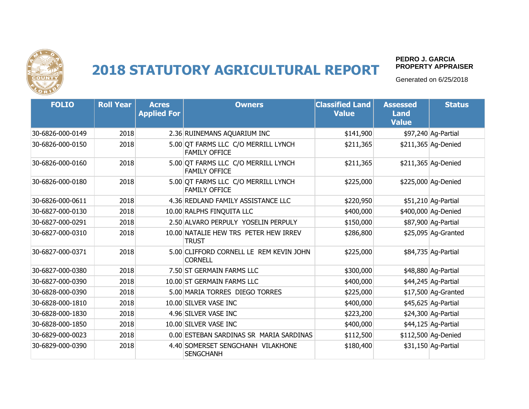

#### **PEDRO J. GARCIA PROPERTY APPRAISER**

| <b>FOLIO</b>     | <b>Roll Year</b> | <b>Acres</b><br><b>Applied For</b> | <b>Owners</b>                                               | <b>Classified Land</b><br><b>Value</b> | <b>Assessed</b><br><b>Land</b><br><b>Value</b> | <b>Status</b>        |
|------------------|------------------|------------------------------------|-------------------------------------------------------------|----------------------------------------|------------------------------------------------|----------------------|
| 30-6826-000-0149 | 2018             |                                    | 2.36 RUINEMANS AQUARIUM INC                                 | \$141,900                              |                                                | \$97,240 Ag-Partial  |
| 30-6826-000-0150 | 2018             |                                    | 5.00 QT FARMS LLC C/O MERRILL LYNCH<br><b>FAMILY OFFICE</b> | \$211,365                              |                                                | \$211,365 Ag-Denied  |
| 30-6826-000-0160 | 2018             |                                    | 5.00 QT FARMS LLC C/O MERRILL LYNCH<br><b>FAMILY OFFICE</b> | \$211,365                              |                                                | \$211,365 Ag-Denied  |
| 30-6826-000-0180 | 2018             |                                    | 5.00 OT FARMS LLC C/O MERRILL LYNCH<br><b>FAMILY OFFICE</b> | \$225,000                              |                                                | \$225,000 Ag-Denied  |
| 30-6826-000-0611 | 2018             |                                    | 4.36 REDLAND FAMILY ASSISTANCE LLC                          | \$220,950                              |                                                | \$51,210 Ag-Partial  |
| 30-6827-000-0130 | 2018             |                                    | 10.00 RALPHS FINQUITA LLC                                   | \$400,000                              |                                                | \$400,000 Ag-Denied  |
| 30-6827-000-0291 | 2018             |                                    | 2.50 ALVARO PERPULY YOSELIN PERPULY                         | \$150,000                              |                                                | \$87,900 Ag-Partial  |
| 30-6827-000-0310 | 2018             |                                    | 10.00 NATALIE HEW TRS PETER HEW IRREV<br><b>TRUST</b>       | \$286,800                              |                                                | \$25,095 Ag-Granted  |
| 30-6827-000-0371 | 2018             |                                    | 5.00 CLIFFORD CORNELL LE REM KEVIN JOHN<br><b>CORNELL</b>   | \$225,000                              |                                                | \$84,735 Ag-Partial  |
| 30-6827-000-0380 | 2018             |                                    | 7.50 ST GERMAIN FARMS LLC                                   | \$300,000                              |                                                | \$48,880 Ag-Partial  |
| 30-6827-000-0390 | 2018             |                                    | 10.00 ST GERMAIN FARMS LLC                                  | \$400,000                              |                                                | \$44,245 Ag-Partial  |
| 30-6828-000-0390 | 2018             |                                    | 5.00 MARIA TORRES DIEGO TORRES                              | \$225,000                              |                                                | \$17,500 Ag-Granted  |
| 30-6828-000-1810 | 2018             |                                    | 10.00 SILVER VASE INC                                       | \$400,000                              |                                                | \$45,625 Ag-Partial  |
| 30-6828-000-1830 | 2018             |                                    | 4.96 SILVER VASE INC                                        | \$223,200                              |                                                | \$24,300 Ag-Partial  |
| 30-6828-000-1850 | 2018             |                                    | 10.00 SILVER VASE INC                                       | \$400,000                              |                                                | $$44,125$ Ag-Partial |
| 30-6829-000-0023 | 2018             |                                    | 0.00 ESTEBAN SARDINAS SR MARIA SARDINAS                     | \$112,500                              |                                                | \$112,500 Ag-Denied  |
| 30-6829-000-0390 | 2018             |                                    | 4.40 SOMERSET SENGCHANH VILAKHONE<br><b>SENGCHANH</b>       | \$180,400                              |                                                | \$31,150 Ag-Partial  |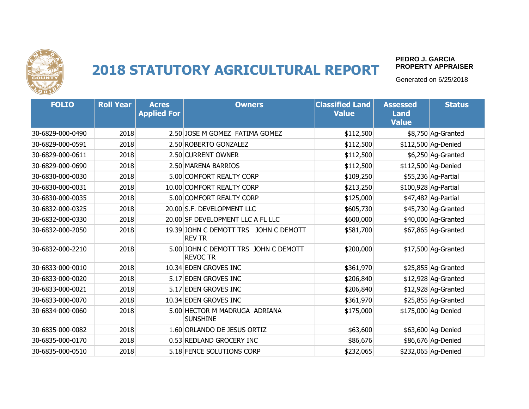

#### **PEDRO J. GARCIA PROPERTY APPRAISER**

| <b>FOLIO</b>     | <b>Roll Year</b> | <b>Acres</b><br><b>Applied For</b> | <b>Owners</b>                                           | <b>Classified Land</b><br><b>Value</b> | <b>Assessed</b><br><b>Land</b><br><b>Value</b> | <b>Status</b>        |
|------------------|------------------|------------------------------------|---------------------------------------------------------|----------------------------------------|------------------------------------------------|----------------------|
| 30-6829-000-0490 | 2018             |                                    | 2.50 JOSE M GOMEZ FATIMA GOMEZ                          | \$112,500                              |                                                | \$8,750 Ag-Granted   |
| 30-6829-000-0591 | 2018             |                                    | 2.50 ROBERTO GONZALEZ                                   | \$112,500                              |                                                | \$112,500 Ag-Denied  |
| 30-6829-000-0611 | 2018             |                                    | 2.50 CURRENT OWNER                                      | \$112,500                              |                                                | \$6,250 Ag-Granted   |
| 30-6829-000-0690 | 2018             |                                    | 2.50 MARENA BARRIOS                                     | \$112,500                              |                                                | \$112,500 Ag-Denied  |
| 30-6830-000-0030 | 2018             |                                    | 5.00 COMFORT REALTY CORP                                | \$109,250                              |                                                | \$55,236 Ag-Partial  |
| 30-6830-000-0031 | 2018             |                                    | 10.00 COMFORT REALTY CORP                               | \$213,250                              |                                                | \$100,928 Ag-Partial |
| 30-6830-000-0035 | 2018             |                                    | 5.00 COMFORT REALTY CORP                                | \$125,000                              |                                                | \$47,482 Ag-Partial  |
| 30-6832-000-0325 | 2018             |                                    | 20.00 S.F. DEVELOPMENT LLC                              | \$605,730                              |                                                | \$45,730 Ag-Granted  |
| 30-6832-000-0330 | 2018             |                                    | 20.00 SF DEVELOPMENT LLC A FL LLC                       | \$600,000                              |                                                | \$40,000 Ag-Granted  |
| 30-6832-000-2050 | 2018             |                                    | 19.39 JOHN C DEMOTT TRS JOHN C DEMOTT<br><b>REV TR</b>  | \$581,700                              |                                                | \$67,865 Ag-Granted  |
| 30-6832-000-2210 | 2018             |                                    | 5.00 JOHN C DEMOTT TRS JOHN C DEMOTT<br><b>REVOC TR</b> | \$200,000                              |                                                | \$17,500 Ag-Granted  |
| 30-6833-000-0010 | 2018             |                                    | 10.34 EDEN GROVES INC                                   | \$361,970                              |                                                | \$25,855 Ag-Granted  |
| 30-6833-000-0020 | 2018             |                                    | 5.17 EDEN GROVES INC                                    | \$206,840                              |                                                | \$12,928 Ag-Granted  |
| 30-6833-000-0021 | 2018             |                                    | 5.17 EDEN GROVES INC                                    | \$206,840                              |                                                | \$12,928 Ag-Granted  |
| 30-6833-000-0070 | 2018             |                                    | 10.34 EDEN GROVES INC                                   | \$361,970                              |                                                | \$25,855 Ag-Granted  |
| 30-6834-000-0060 | 2018             |                                    | 5.00 HECTOR M MADRUGA ADRIANA<br><b>SUNSHINE</b>        | \$175,000                              |                                                | \$175,000 Ag-Denied  |
| 30-6835-000-0082 | 2018             |                                    | 1.60 ORLANDO DE JESUS ORTIZ                             | \$63,600                               |                                                | \$63,600 Ag-Denied   |
| 30-6835-000-0170 | 2018             |                                    | 0.53 REDLAND GROCERY INC                                | \$86,676                               |                                                | \$86,676 Ag-Denied   |
| 30-6835-000-0510 | 2018             |                                    | 5.18 FENCE SOLUTIONS CORP                               | \$232,065                              |                                                | \$232,065 Ag-Denied  |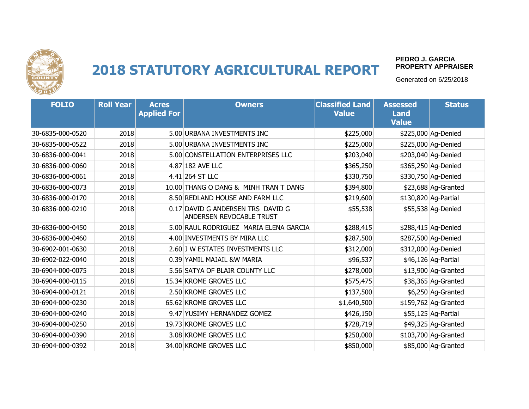

#### **PEDRO J. GARCIA PROPERTY APPRAISER**

| <b>FOLIO</b>     | <b>Roll Year</b> | <b>Acres</b><br><b>Applied For</b> | <b>Owners</b>                                                 | <b>Classified Land</b><br><b>Value</b> | <b>Assessed</b><br><b>Land</b><br><b>Value</b> | <b>Status</b>        |
|------------------|------------------|------------------------------------|---------------------------------------------------------------|----------------------------------------|------------------------------------------------|----------------------|
| 30-6835-000-0520 | 2018             |                                    | 5.00 URBANA INVESTMENTS INC                                   | \$225,000                              |                                                | \$225,000 Ag-Denied  |
| 30-6835-000-0522 | 2018             |                                    | 5.00 URBANA INVESTMENTS INC                                   | \$225,000                              |                                                | \$225,000 Ag-Denied  |
| 30-6836-000-0041 | 2018             |                                    | 5.00 CONSTELLATION ENTERPRISES LLC                            | \$203,040                              |                                                | \$203,040 Ag-Denied  |
| 30-6836-000-0060 | 2018             |                                    | 4.87 182 AVE LLC                                              | \$365,250                              |                                                | \$365,250 Ag-Denied  |
| 30-6836-000-0061 | 2018             |                                    | 4.41 264 ST LLC                                               | \$330,750                              |                                                | \$330,750 Ag-Denied  |
| 30-6836-000-0073 | 2018             |                                    | 10.00 THANG O DANG & MINH TRAN T DANG                         | \$394,800                              |                                                | $$23,688$ Ag-Granted |
| 30-6836-000-0170 | 2018             |                                    | 8.50 REDLAND HOUSE AND FARM LLC                               | \$219,600                              |                                                | \$130,820 Ag-Partial |
| 30-6836-000-0210 | 2018             |                                    | 0.17 DAVID G ANDERSEN TRS DAVID G<br>ANDERSEN REVOCABLE TRUST | \$55,538                               |                                                | \$55,538 Ag-Denied   |
| 30-6836-000-0450 | 2018             |                                    | 5.00 RAUL RODRIGUEZ MARIA ELENA GARCIA                        | \$288,415                              |                                                | \$288,415 Ag-Denied  |
| 30-6836-000-0460 | 2018             |                                    | 4.00 INVESTMENTS BY MIRA LLC                                  | \$287,500                              |                                                | \$287,500 Ag-Denied  |
| 30-6902-001-0630 | 2018             |                                    | 2.60 J W ESTATES INVESTMENTS LLC                              | \$312,000                              |                                                | \$312,000 Ag-Denied  |
| 30-6902-022-0040 | 2018             |                                    | 0.39 YAMIL MAJAIL &W MARIA                                    | \$96,537                               |                                                | \$46,126 Ag-Partial  |
| 30-6904-000-0075 | 2018             |                                    | 5.56 SATYA OF BLAIR COUNTY LLC                                | \$278,000                              |                                                | \$13,900 Ag-Granted  |
| 30-6904-000-0115 | 2018             |                                    | 15.34 KROME GROVES LLC                                        | \$575,475                              |                                                | \$38,365 Ag-Granted  |
| 30-6904-000-0121 | 2018             |                                    | 2.50 KROME GROVES LLC                                         | \$137,500                              |                                                | \$6,250 Ag-Granted   |
| 30-6904-000-0230 | 2018             |                                    | 65.62 KROME GROVES LLC                                        | \$1,640,500                            |                                                | \$159,762 Ag-Granted |
| 30-6904-000-0240 | 2018             |                                    | 9.47 YUSIMY HERNANDEZ GOMEZ                                   | \$426,150                              |                                                | \$55,125 Ag-Partial  |
| 30-6904-000-0250 | 2018             |                                    | 19.73 KROME GROVES LLC                                        | \$728,719                              |                                                | \$49,325 Ag-Granted  |
| 30-6904-000-0390 | 2018             |                                    | 3.08 KROME GROVES LLC                                         | \$250,000                              |                                                | \$103,700 Ag-Granted |
| 30-6904-000-0392 | 2018             |                                    | 34.00 KROME GROVES LLC                                        | \$850,000                              |                                                | \$85,000 Aq-Granted  |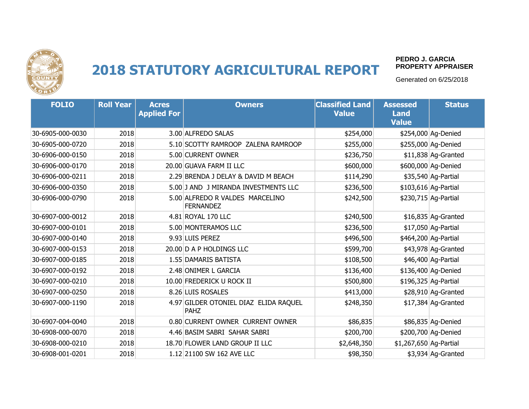

#### **PEDRO J. GARCIA PROPERTY APPRAISER**

| <b>FOLIO</b>     | <b>Roll Year</b> | <b>Acres</b><br><b>Applied For</b> | <b>Owners</b>                                       | <b>Classified Land</b><br><b>Value</b> | <b>Assessed</b><br><b>Land</b><br><b>Value</b> | <b>Status</b>        |
|------------------|------------------|------------------------------------|-----------------------------------------------------|----------------------------------------|------------------------------------------------|----------------------|
| 30-6905-000-0030 | 2018             |                                    | 3.00 ALFREDO SALAS                                  | \$254,000                              |                                                | \$254,000 Ag-Denied  |
| 30-6905-000-0720 | 2018             |                                    | 5.10 SCOTTY RAMROOP ZALENA RAMROOP                  | \$255,000                              |                                                | \$255,000 Ag-Denied  |
| 30-6906-000-0150 | 2018             |                                    | 5.00 CURRENT OWNER                                  | \$236,750                              |                                                | \$11,838 Ag-Granted  |
| 30-6906-000-0170 | 2018             |                                    | 20.00 GUAVA FARM II LLC                             | \$600,000                              |                                                | \$600,000 Ag-Denied  |
| 30-6906-000-0211 | 2018             |                                    | 2.29 BRENDA J DELAY & DAVID M BEACH                 | \$114,290                              |                                                | \$35,540 Ag-Partial  |
| 30-6906-000-0350 | 2018             |                                    | 5.00 J AND J MIRANDA INVESTMENTS LLC                | \$236,500                              |                                                | \$103,616 Ag-Partial |
| 30-6906-000-0790 | 2018             |                                    | 5.00 ALFREDO R VALDES MARCELINO<br><b>FERNANDEZ</b> | \$242,500                              |                                                | \$230,715 Ag-Partial |
| 30-6907-000-0012 | 2018             |                                    | 4.81 ROYAL 170 LLC                                  | \$240,500                              |                                                | \$16,835 Ag-Granted  |
| 30-6907-000-0101 | 2018             |                                    | 5.00 MONTERAMOS LLC                                 | \$236,500                              |                                                | \$17,050 Ag-Partial  |
| 30-6907-000-0140 | 2018             |                                    | 9.93 LUIS PEREZ                                     | \$496,500                              |                                                | \$464,200 Ag-Partial |
| 30-6907-000-0153 | 2018             |                                    | 20.00 D A P HOLDINGS LLC                            | \$599,700                              |                                                | \$43,978 Ag-Granted  |
| 30-6907-000-0185 | 2018             |                                    | 1.55 DAMARIS BATISTA                                | \$108,500                              |                                                | \$46,400 Ag-Partial  |
| 30-6907-000-0192 | 2018             |                                    | 2.48 ONIMER L GARCIA                                | \$136,400                              |                                                | \$136,400 Ag-Denied  |
| 30-6907-000-0210 | 2018             |                                    | 10.00 FREDERICK U ROCK II                           | \$500,800                              |                                                | \$196,325 Ag-Partial |
| 30-6907-000-0250 | 2018             |                                    | 8.26 LUIS ROSALES                                   | \$413,000                              |                                                | \$28,910 Ag-Granted  |
| 30-6907-000-1190 | 2018             |                                    | 4.97 GILDER OTONIEL DIAZ ELIDA RAQUEL<br>PAHZ       | \$248,350                              |                                                | \$17,384 Ag-Granted  |
| 30-6907-004-0040 | 2018             |                                    | 0.80 CURRENT OWNER CURRENT OWNER                    | \$86,835                               |                                                | \$86,835 Ag-Denied   |
| 30-6908-000-0070 | 2018             |                                    | 4.46 BASIM SABRI SAHAR SABRI                        | \$200,700                              |                                                | \$200,700 Ag-Denied  |
| 30-6908-000-0210 | 2018             |                                    | 18.70 FLOWER LAND GROUP II LLC                      | \$2,648,350                            | \$1,267,650 Ag-Partial                         |                      |
| 30-6908-001-0201 | 2018             |                                    | 1.12 21100 SW 162 AVE LLC                           | \$98,350                               |                                                | \$3,934 Ag-Granted   |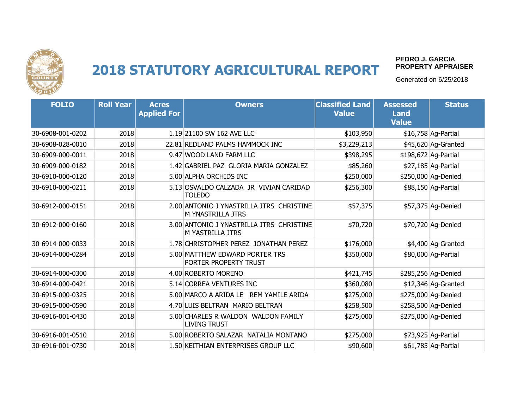

#### **PEDRO J. GARCIA PROPERTY APPRAISER**

| <b>FOLIO</b>     | <b>Roll Year</b> | <b>Acres</b><br><b>Applied For</b> | <b>Owners</b>                                                 | <b>Classified Land</b><br><b>Value</b> | <b>Assessed</b><br><b>Land</b><br><b>Value</b> | <b>Status</b>        |
|------------------|------------------|------------------------------------|---------------------------------------------------------------|----------------------------------------|------------------------------------------------|----------------------|
| 30-6908-001-0202 | 2018             |                                    | 1.19 21100 SW 162 AVE LLC                                     | \$103,950                              |                                                | \$16,758 Ag-Partial  |
| 30-6908-028-0010 | 2018             |                                    | 22.81 REDLAND PALMS HAMMOCK INC                               | \$3,229,213                            |                                                | \$45,620 Ag-Granted  |
| 30-6909-000-0011 | 2018             |                                    | 9.47 WOOD LAND FARM LLC                                       | \$398,295                              |                                                | \$198,672 Ag-Partial |
| 30-6909-000-0182 | 2018             |                                    | 1.42 GABRIEL PAZ GLORIA MARIA GONZALEZ                        | \$85,260                               |                                                | \$27,185 Ag-Partial  |
| 30-6910-000-0120 | 2018             |                                    | 5.00 ALPHA ORCHIDS INC                                        | \$250,000                              |                                                | \$250,000 Ag-Denied  |
| 30-6910-000-0211 | 2018             |                                    | 5.13 OSVALDO CALZADA JR VIVIAN CARIDAD<br><b>TOLEDO</b>       | \$256,300                              |                                                | \$88,150 Ag-Partial  |
| 30-6912-000-0151 | 2018             |                                    | 2.00 ANTONIO J YNASTRILLA JTRS CHRISTINE<br>M YNASTRILLA JTRS | \$57,375                               |                                                | \$57,375 Ag-Denied   |
| 30-6912-000-0160 | 2018             |                                    | 3.00 ANTONIO J YNASTRILLA JTRS CHRISTINE<br>M YASTRILLA JTRS  | \$70,720                               |                                                | \$70,720 Ag-Denied   |
| 30-6914-000-0033 | 2018             |                                    | 1.78 CHRISTOPHER PEREZ JONATHAN PEREZ                         | \$176,000                              |                                                | \$4,400 Ag-Granted   |
| 30-6914-000-0284 | 2018             |                                    | 5.00 MATTHEW EDWARD PORTER TRS<br>PORTER PROPERTY TRUST       | \$350,000                              |                                                | \$80,000 Ag-Partial  |
| 30-6914-000-0300 | 2018             |                                    | 4.00 ROBERTO MORENO                                           | \$421,745                              |                                                | \$285,256 Ag-Denied  |
| 30-6914-000-0421 | 2018             |                                    | 5.14 CORREA VENTURES INC                                      | \$360,080                              |                                                | $$12,346$ Ag-Granted |
| 30-6915-000-0325 | 2018             |                                    | 5.00 MARCO A ARIDA LE REM YAMILE ARIDA                        | \$275,000                              |                                                | \$275,000 Ag-Denied  |
| 30-6915-000-0590 | 2018             |                                    | 4.70 LUIS BELTRAN MARIO BELTRAN                               | \$258,500                              |                                                | \$258,500 Ag-Denied  |
| 30-6916-001-0430 | 2018             |                                    | 5.00 CHARLES R WALDON WALDON FAMILY<br><b>LIVING TRUST</b>    | \$275,000                              |                                                | \$275,000 Ag-Denied  |
| 30-6916-001-0510 | 2018             |                                    | 5.00 ROBERTO SALAZAR NATALIA MONTANO                          | \$275,000                              |                                                | \$73,925 Ag-Partial  |
| 30-6916-001-0730 | 2018             |                                    | 1.50 KEITHIAN ENTERPRISES GROUP LLC                           | \$90,600                               |                                                | \$61,785 Ag-Partial  |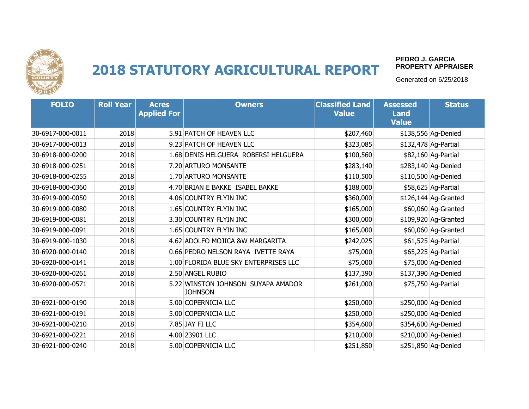

#### **PEDRO J. GARCIA PROPERTY APPRAISER**

| <b>FOLIO</b>     | <b>Roll Year</b> | <b>Acres</b><br><b>Applied For</b> | <b>Owners</b>                                        | <b>Classified Land</b><br><b>Value</b> | <b>Assessed</b><br><b>Land</b><br><b>Value</b> | <b>Status</b>         |
|------------------|------------------|------------------------------------|------------------------------------------------------|----------------------------------------|------------------------------------------------|-----------------------|
| 30-6917-000-0011 | 2018             |                                    | 5.91 PATCH OF HEAVEN LLC                             | \$207,460                              |                                                | \$138,556 Ag-Denied   |
| 30-6917-000-0013 | 2018             |                                    | 9.23 PATCH OF HEAVEN LLC                             | \$323,085                              |                                                | \$132,478 Ag-Partial  |
| 30-6918-000-0200 | 2018             |                                    | 1.68 DENIS HELGUERA ROBERSI HELGUERA                 | \$100,560                              |                                                | \$82,160 Ag-Partial   |
| 30-6918-000-0251 | 2018             |                                    | 7.20 ARTURO MONSANTE                                 | \$283,140                              |                                                | \$283,140 Ag-Denied   |
| 30-6918-000-0255 | 2018             |                                    | 1.70 ARTURO MONSANTE                                 | \$110,500                              |                                                | \$110,500 Ag-Denied   |
| 30-6918-000-0360 | 2018             |                                    | 4.70 BRIAN E BAKKE ISABEL BAKKE                      | \$188,000                              |                                                | \$58,625 Ag-Partial   |
| 30-6919-000-0050 | 2018             |                                    | 4.06 COUNTRY FLYIN INC                               | \$360,000                              |                                                | $$126,144$ Ag-Granted |
| 30-6919-000-0080 | 2018             |                                    | 1.65 COUNTRY FLYIN INC                               | \$165,000                              |                                                | \$60,060 Ag-Granted   |
| 30-6919-000-0081 | 2018             |                                    | 3.30 COUNTRY FLYIN INC                               | \$300,000                              |                                                | \$109,920 Ag-Granted  |
| 30-6919-000-0091 | 2018             |                                    | 1.65 COUNTRY FLYIN INC                               | \$165,000                              |                                                | \$60,060 Ag-Granted   |
| 30-6919-000-1030 | 2018             |                                    | 4.62 ADOLFO MOJICA & W MARGARITA                     | \$242,025                              |                                                | \$61,525 Ag-Partial   |
| 30-6920-000-0140 | 2018             |                                    | 0.66 PEDRO NELSON RAYA IVETTE RAYA                   | \$75,000                               |                                                | \$65,225 Ag-Partial   |
| 30-6920-000-0141 | 2018             |                                    | 1.00 FLORIDA BLUE SKY ENTERPRISES LLC                | \$75,000                               |                                                | \$75,000 Ag-Denied    |
| 30-6920-000-0261 | 2018             |                                    | 2.50 ANGEL RUBIO                                     | \$137,390                              |                                                | \$137,390 Ag-Denied   |
| 30-6920-000-0571 | 2018             |                                    | 5.22 WINSTON JOHNSON SUYAPA AMADOR<br><b>JOHNSON</b> | \$261,000                              |                                                | \$75,750 Ag-Partial   |
| 30-6921-000-0190 | 2018             |                                    | 5.00 COPERNICIA LLC                                  | \$250,000                              |                                                | \$250,000 Ag-Denied   |
| 30-6921-000-0191 | 2018             |                                    | 5.00 COPERNICIA LLC                                  | \$250,000                              |                                                | \$250,000 Ag-Denied   |
| 30-6921-000-0210 | 2018             |                                    | 7.85 JAY FI LLC                                      | \$354,600                              |                                                | \$354,600 Ag-Denied   |
| 30-6921-000-0221 | 2018             |                                    | 4.00 23901 LLC                                       | \$210,000                              |                                                | \$210,000 Ag-Denied   |
| 30-6921-000-0240 | 2018             |                                    | 5.00 COPERNICIA LLC                                  | \$251,850                              |                                                | \$251,850 Ag-Denied   |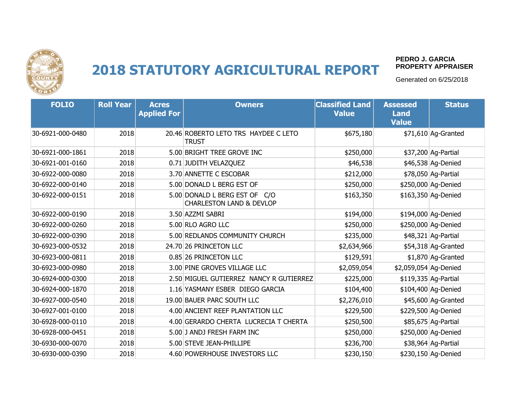

#### **PEDRO J. GARCIA PROPERTY APPRAISER**

| <b>FOLIO</b>     | <b>Roll Year</b> | <b>Acres</b><br><b>Applied For</b> | <b>Owners</b>                                                        | <b>Classified Land</b><br><b>Value</b> | <b>Assessed</b><br><b>Land</b><br><b>Value</b> | <b>Status</b>        |
|------------------|------------------|------------------------------------|----------------------------------------------------------------------|----------------------------------------|------------------------------------------------|----------------------|
| 30-6921-000-0480 | 2018             |                                    | 20.46 ROBERTO LETO TRS HAYDEE C LETO<br><b>TRUST</b>                 | \$675,180                              |                                                | \$71,610 Ag-Granted  |
| 30-6921-000-1861 | 2018             |                                    | 5.00 BRIGHT TREE GROVE INC                                           | \$250,000                              |                                                | \$37,200 Ag-Partial  |
| 30-6921-001-0160 | 2018             |                                    | 0.71 JUDITH VELAZQUEZ                                                | \$46,538                               |                                                | \$46,538 Ag-Denied   |
| 30-6922-000-0080 | 2018             |                                    | 3.70 ANNETTE C ESCOBAR                                               | \$212,000                              |                                                | \$78,050 Ag-Partial  |
| 30-6922-000-0140 | 2018             |                                    | 5.00 DONALD L BERG EST OF                                            | \$250,000                              |                                                | \$250,000 Ag-Denied  |
| 30-6922-000-0151 | 2018             |                                    | 5.00 DONALD L BERG EST OF C/O<br><b>CHARLESTON LAND &amp; DEVLOP</b> | \$163,350                              |                                                | \$163,350 Ag-Denied  |
| 30-6922-000-0190 | 2018             |                                    | 3.50 AZZMI SABRI                                                     | \$194,000                              |                                                | \$194,000 Ag-Denied  |
| 30-6922-000-0260 | 2018             |                                    | 5.00 RLO AGRO LLC                                                    | \$250,000                              |                                                | \$250,000 Ag-Denied  |
| 30-6922-000-0390 | 2018             |                                    | 5.00 REDLANDS COMMUNITY CHURCH                                       | \$235,000                              |                                                | \$48,321 Ag-Partial  |
| 30-6923-000-0532 | 2018             |                                    | 24.70 26 PRINCETON LLC                                               | \$2,634,966                            |                                                | \$54,318 Ag-Granted  |
| 30-6923-000-0811 | 2018             |                                    | 0.85 26 PRINCETON LLC                                                | \$129,591                              |                                                | \$1,870 Ag-Granted   |
| 30-6923-000-0980 | 2018             |                                    | 3.00 PINE GROVES VILLAGE LLC                                         | \$2,059,054                            | \$2,059,054 Ag-Denied                          |                      |
| 30-6924-000-0300 | 2018             |                                    | 2.50 MIGUEL GUTIERREZ NANCY R GUTIERREZ                              | \$225,000                              |                                                | \$119,335 Ag-Partial |
| 30-6924-000-1870 | 2018             |                                    | 1.16 YASMANY ESBER DIEGO GARCIA                                      | \$104,400                              |                                                | \$104,400 Ag-Denied  |
| 30-6927-000-0540 | 2018             |                                    | 19.00 BAUER PARC SOUTH LLC                                           | \$2,276,010                            |                                                | \$45,600 Ag-Granted  |
| 30-6927-001-0100 | 2018             |                                    | 4.00 ANCIENT REEF PLANTATION LLC                                     | \$229,500                              |                                                | \$229,500 Ag-Denied  |
| 30-6928-000-0110 | 2018             |                                    | 4.00 GERARDO CHERTA LUCRECIA T CHERTA                                | \$250,500                              |                                                | \$85,675 Ag-Partial  |
| 30-6928-000-0451 | 2018             |                                    | 5.00 J ANDJ FRESH FARM INC                                           | \$250,000                              |                                                | \$250,000 Ag-Denied  |
| 30-6930-000-0070 | 2018             |                                    | 5.00 STEVE JEAN-PHILLIPE                                             | \$236,700                              |                                                | \$38,964 Ag-Partial  |
| 30-6930-000-0390 | 2018             |                                    | 4.60 POWERHOUSE INVESTORS LLC                                        | \$230,150                              |                                                | \$230,150 Aq-Denied  |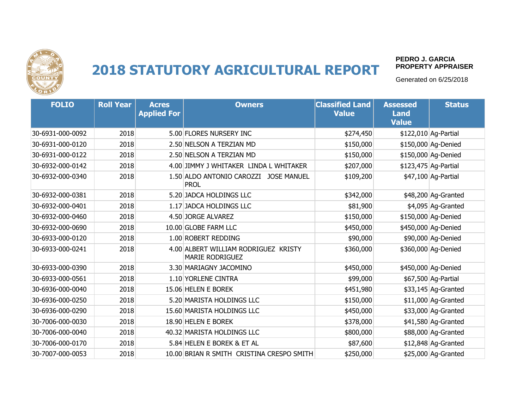

#### **PEDRO J. GARCIA PROPERTY APPRAISER**

| <b>FOLIO</b>     | <b>Roll Year</b> | <b>Acres</b><br><b>Applied For</b> | <b>Owners</b>                                                  | <b>Classified Land</b><br><b>Value</b> | <b>Assessed</b><br><b>Land</b><br><b>Value</b> | <b>Status</b>        |
|------------------|------------------|------------------------------------|----------------------------------------------------------------|----------------------------------------|------------------------------------------------|----------------------|
| 30-6931-000-0092 | 2018             |                                    | 5.00 FLORES NURSERY INC                                        | \$274,450                              |                                                | \$122,010 Ag-Partial |
| 30-6931-000-0120 | 2018             |                                    | 2.50 NELSON A TERZIAN MD                                       | \$150,000                              |                                                | \$150,000 Ag-Denied  |
| 30-6931-000-0122 | 2018             |                                    | 2.50 NELSON A TERZIAN MD                                       | \$150,000                              |                                                | \$150,000 Ag-Denied  |
| 30-6932-000-0142 | 2018             |                                    | 4.00 JIMMY J WHITAKER LINDA L WHITAKER                         | \$207,000                              |                                                | \$123,475 Ag-Partial |
| 30-6932-000-0340 | 2018             |                                    | 1.50 ALDO ANTONIO CAROZZI JOSE MANUEL<br><b>PROL</b>           | \$109,200                              |                                                | \$47,100 Ag-Partial  |
| 30-6932-000-0381 | 2018             |                                    | 5.20 JADCA HOLDINGS LLC                                        | \$342,000                              |                                                | \$48,200 Ag-Granted  |
| 30-6932-000-0401 | 2018             |                                    | 1.17 JADCA HOLDINGS LLC                                        | \$81,900                               |                                                | \$4,095 Ag-Granted   |
| 30-6932-000-0460 | 2018             |                                    | 4.50 JORGE ALVAREZ                                             | \$150,000                              |                                                | \$150,000 Ag-Denied  |
| 30-6932-000-0690 | 2018             |                                    | 10.00 GLOBE FARM LLC                                           | \$450,000                              |                                                | \$450,000 Ag-Denied  |
| 30-6933-000-0120 | 2018             |                                    | 1.00 ROBERT REDDING                                            | \$90,000                               |                                                | \$90,000 Ag-Denied   |
| 30-6933-000-0241 | 2018             |                                    | 4.00 ALBERT WILLIAM RODRIGUEZ KRISTY<br><b>MARIE RODRIGUEZ</b> | \$360,000                              |                                                | \$360,000 Ag-Denied  |
| 30-6933-000-0390 | 2018             |                                    | 3.30 MARIAGNY JACOMINO                                         | \$450,000                              |                                                | \$450,000 Ag-Denied  |
| 30-6933-000-0561 | 2018             |                                    | 1.10 YORLENE CINTRA                                            | \$99,000                               |                                                | \$67,500 Ag-Partial  |
| 30-6936-000-0040 | 2018             |                                    | 15.06 HELEN E BOREK                                            | \$451,980                              |                                                | \$33,145 Ag-Granted  |
| 30-6936-000-0250 | 2018             |                                    | 5.20 MARISTA HOLDINGS LLC                                      | \$150,000                              |                                                | \$11,000 Ag-Granted  |
| 30-6936-000-0290 | 2018             |                                    | 15.60 MARISTA HOLDINGS LLC                                     | \$450,000                              |                                                | \$33,000 Ag-Granted  |
| 30-7006-000-0030 | 2018             |                                    | 18.90 HELEN E BOREK                                            | \$378,000                              |                                                | \$41,580 Ag-Granted  |
| 30-7006-000-0040 | 2018             |                                    | 40.32 MARISTA HOLDINGS LLC                                     | \$800,000                              |                                                | \$88,000 Ag-Granted  |
| 30-7006-000-0170 | 2018             |                                    | 5.84 HELEN E BOREK & ET AL                                     | \$87,600                               |                                                | \$12,848 Ag-Granted  |
| 30-7007-000-0053 | 2018             |                                    | 10.00 BRIAN R SMITH CRISTINA CRESPO SMITH                      | \$250,000                              |                                                | \$25,000 Aq-Granted  |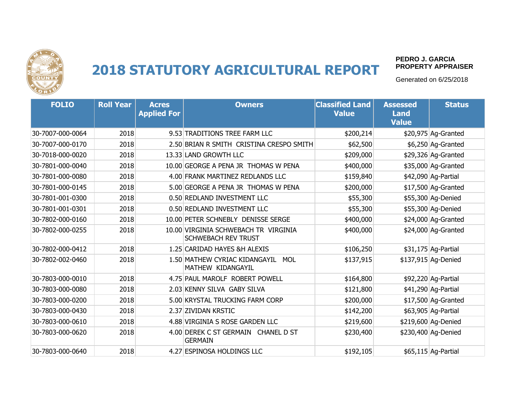

#### **PEDRO J. GARCIA PROPERTY APPRAISER**

| <b>FOLIO</b>     | <b>Roll Year</b> | <b>Acres</b><br><b>Applied For</b> | <b>Owners</b>                                                      | <b>Classified Land</b><br><b>Value</b> | <b>Assessed</b><br><b>Land</b><br>Value | <b>Status</b>        |
|------------------|------------------|------------------------------------|--------------------------------------------------------------------|----------------------------------------|-----------------------------------------|----------------------|
| 30-7007-000-0064 | 2018             |                                    | 9.53 TRADITIONS TREE FARM LLC                                      | \$200,214                              |                                         | \$20,975 Ag-Granted  |
| 30-7007-000-0170 | 2018             |                                    | 2.50 BRIAN R SMITH CRISTINA CRESPO SMITH                           | \$62,500                               |                                         | \$6,250 Ag-Granted   |
| 30-7018-000-0020 | 2018             |                                    | 13.33 LAND GROWTH LLC                                              | \$209,000                              |                                         | \$29,326 Ag-Granted  |
| 30-7801-000-0040 | 2018             |                                    | 10.00 GEORGE A PENA JR THOMAS W PENA                               | \$400,000                              |                                         | \$35,000 Ag-Granted  |
| 30-7801-000-0080 | 2018             |                                    | 4.00 FRANK MARTINEZ REDLANDS LLC                                   | \$159,840                              |                                         | \$42,090 Ag-Partial  |
| 30-7801-000-0145 | 2018             |                                    | 5.00 GEORGE A PENA JR THOMAS W PENA                                | \$200,000                              |                                         | \$17,500 Ag-Granted  |
| 30-7801-001-0300 | 2018             |                                    | 0.50 REDLAND INVESTMENT LLC                                        | \$55,300                               |                                         | \$55,300 Aq-Denied   |
| 30-7801-001-0301 | 2018             |                                    | 0.50 REDLAND INVESTMENT LLC                                        | \$55,300                               |                                         | \$55,300 Ag-Denied   |
| 30-7802-000-0160 | 2018             |                                    | 10.00 PETER SCHNEBLY DENISSE SERGE                                 | \$400,000                              |                                         | \$24,000 Ag-Granted  |
| 30-7802-000-0255 | 2018             |                                    | 10.00 VIRGINIA SCHWEBACH TR VIRGINIA<br><b>SCHWEBACH REV TRUST</b> | \$400,000                              |                                         | \$24,000 Ag-Granted  |
| 30-7802-000-0412 | 2018             |                                    | 1.25 CARIDAD HAYES &H ALEXIS                                       | \$106,250                              |                                         | $$31,175$ Ag-Partial |
| 30-7802-002-0460 | 2018             |                                    | 1.50 MATHEW CYRIAC KIDANGAYIL<br><b>MOL</b><br>MATHEW KIDANGAYIL   | \$137,915                              |                                         | \$137,915 Ag-Denied  |
| 30-7803-000-0010 | 2018             |                                    | 4.75 PAUL MAROLF ROBERT POWELL                                     | \$164,800                              |                                         | \$92,220 Ag-Partial  |
| 30-7803-000-0080 | 2018             |                                    | 2.03 KENNY SILVA GABY SILVA                                        | \$121,800                              |                                         | \$41,290 Ag-Partial  |
| 30-7803-000-0200 | 2018             |                                    | 5.00 KRYSTAL TRUCKING FARM CORP                                    | \$200,000                              |                                         | \$17,500 Ag-Granted  |
| 30-7803-000-0430 | 2018             |                                    | 2.37 ZIVIDAN KRSTIC                                                | \$142,200                              |                                         | \$63,905 Ag-Partial  |
| 30-7803-000-0610 | 2018             |                                    | 4.88 VIRGINIA S ROSE GARDEN LLC                                    | \$219,600                              |                                         | \$219,600 Ag-Denied  |
| 30-7803-000-0620 | 2018             |                                    | 4.00 DEREK C ST GERMAIN CHANEL D ST<br><b>GERMAIN</b>              | \$230,400                              |                                         | \$230,400 Ag-Denied  |
| 30-7803-000-0640 | 2018             |                                    | 4.27 ESPINOSA HOLDINGS LLC                                         | \$192,105                              |                                         | \$65,115 Ag-Partial  |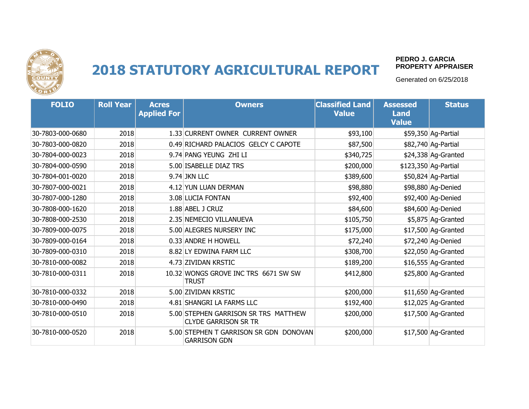

#### **PEDRO J. GARCIA PROPERTY APPRAISER**

| <b>FOLIO</b>     | <b>Roll Year</b> | <b>Acres</b><br><b>Applied For</b> | <b>Owners</b>                                                       | <b>Classified Land</b><br><b>Value</b> | <b>Assessed</b><br><b>Land</b><br><b>Value</b> | <b>Status</b>        |
|------------------|------------------|------------------------------------|---------------------------------------------------------------------|----------------------------------------|------------------------------------------------|----------------------|
| 30-7803-000-0680 | 2018             |                                    | 1.33 CURRENT OWNER CURRENT OWNER                                    | \$93,100                               |                                                | \$59,350 Ag-Partial  |
| 30-7803-000-0820 | 2018             |                                    | 0.49 RICHARD PALACIOS GELCY C CAPOTE                                | \$87,500                               |                                                | \$82,740 Ag-Partial  |
| 30-7804-000-0023 | 2018             |                                    | 9.74 PANG YEUNG ZHI LI                                              | \$340,725                              |                                                | \$24,338 Ag-Granted  |
| 30-7804-000-0590 | 2018             |                                    | 5.00 ISABELLE DIAZ TRS                                              | \$200,000                              |                                                | \$123,350 Ag-Partial |
| 30-7804-001-0020 | 2018             |                                    | 9.74 JKN LLC                                                        | \$389,600                              |                                                | \$50,824 Ag-Partial  |
| 30-7807-000-0021 | 2018             |                                    | 4.12 YUN LUAN DERMAN                                                | \$98,880                               |                                                | \$98,880 Ag-Denied   |
| 30-7807-000-1280 | 2018             |                                    | 3.08 LUCIA FONTAN                                                   | \$92,400                               |                                                | \$92,400 Ag-Denied   |
| 30-7808-000-1620 | 2018             |                                    | 1.88 ABEL J CRUZ                                                    | \$84,600                               |                                                | \$84,600 Ag-Denied   |
| 30-7808-000-2530 | 2018             |                                    | 2.35 NEMECIO VILLANUEVA                                             | \$105,750                              |                                                | \$5,875 Ag-Granted   |
| 30-7809-000-0075 | 2018             |                                    | 5.00 ALEGRES NURSERY INC                                            | \$175,000                              |                                                | \$17,500 Ag-Granted  |
| 30-7809-000-0164 | 2018             |                                    | 0.33 ANDRE H HOWELL                                                 | \$72,240                               |                                                | \$72,240 Ag-Denied   |
| 30-7809-000-0310 | 2018             |                                    | 8.82 LY EDWINA FARM LLC                                             | \$308,700                              |                                                | \$22,050 Ag-Granted  |
| 30-7810-000-0082 | 2018             |                                    | 4.73 ZIVIDAN KRSTIC                                                 | \$189,200                              |                                                | \$16,555 Ag-Granted  |
| 30-7810-000-0311 | 2018             |                                    | 10.32 WONGS GROVE INC TRS 6671 SW SW<br><b>TRUST</b>                | \$412,800                              |                                                | \$25,800 Ag-Granted  |
| 30-7810-000-0332 | 2018             |                                    | 5.00 ZIVIDAN KRSTIC                                                 | \$200,000                              |                                                | \$11,650 Ag-Granted  |
| 30-7810-000-0490 | 2018             |                                    | 4.81 SHANGRI LA FARMS LLC                                           | \$192,400                              |                                                | \$12,025 Ag-Granted  |
| 30-7810-000-0510 | 2018             |                                    | 5.00 STEPHEN GARRISON SR TRS MATTHEW<br><b>CLYDE GARRISON SR TR</b> | \$200,000                              |                                                | \$17,500 Ag-Granted  |
| 30-7810-000-0520 | 2018             |                                    | 5.00 STEPHEN T GARRISON SR GDN DONOVAN<br><b>GARRISON GDN</b>       | \$200,000                              |                                                | \$17,500 Ag-Granted  |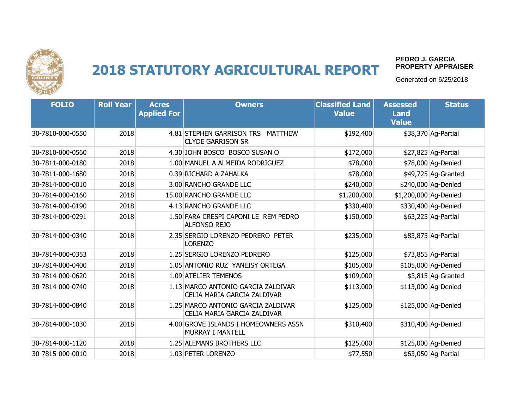

#### **PEDRO J. GARCIA PROPERTY APPRAISER**

| <b>FOLIO</b>     | <b>Roll Year</b> | <b>Acres</b><br><b>Applied For</b> | <b>Owners</b>                                                           | <b>Classified Land</b><br><b>Value</b> | <b>Assessed</b><br><b>Land</b><br><b>Value</b> | <b>Status</b>       |
|------------------|------------------|------------------------------------|-------------------------------------------------------------------------|----------------------------------------|------------------------------------------------|---------------------|
| 30-7810-000-0550 | 2018             |                                    | 4.81 STEPHEN GARRISON TRS<br><b>MATTHEW</b><br><b>CLYDE GARRISON SR</b> | \$192,400                              |                                                | \$38,370 Ag-Partial |
| 30-7810-000-0560 | 2018             |                                    | 4.30 JOHN BOSCO BOSCO SUSAN O                                           | \$172,000                              |                                                | \$27,825 Ag-Partial |
| 30-7811-000-0180 | 2018             |                                    | 1.00 MANUEL A ALMEIDA RODRIGUEZ                                         | \$78,000                               |                                                | \$78,000 Ag-Denied  |
| 30-7811-000-1680 | 2018             |                                    | 0.39 RICHARD A ZAHALKA                                                  | \$78,000                               |                                                | \$49,725 Ag-Granted |
| 30-7814-000-0010 | 2018             |                                    | 3.00 RANCHO GRANDE LLC                                                  | \$240,000                              |                                                | \$240,000 Ag-Denied |
| 30-7814-000-0160 | 2018             |                                    | 15.00 RANCHO GRANDE LLC                                                 | \$1,200,000                            | \$1,200,000 Ag-Denied                          |                     |
| 30-7814-000-0190 | 2018             |                                    | 4.13 RANCHO GRANDE LLC                                                  | \$330,400                              |                                                | \$330,400 Aq-Denied |
| 30-7814-000-0291 | 2018             |                                    | 1.50 FARA CRESPI CAPONI LE REM PEDRO<br><b>ALFONSO REJO</b>             | \$150,000                              |                                                | \$63,225 Ag-Partial |
| 30-7814-000-0340 | 2018             |                                    | 2.35 SERGIO LORENZO PEDRERO PETER<br><b>LORENZO</b>                     | \$235,000                              |                                                | \$83,875 Ag-Partial |
| 30-7814-000-0353 | 2018             |                                    | 1.25 SERGIO LORENZO PEDRERO                                             | \$125,000                              |                                                | \$73,855 Ag-Partial |
| 30-7814-000-0400 | 2018             |                                    | 1.05 ANTONIO RUZ YANEISY ORTEGA                                         | \$105,000                              |                                                | \$105,000 Ag-Denied |
| 30-7814-000-0620 | 2018             |                                    | 1.09 ATELIER TEMENOS                                                    | \$109,000                              |                                                | \$3,815 Ag-Granted  |
| 30-7814-000-0740 | 2018             |                                    | 1.13 MARCO ANTONIO GARCIA ZALDIVAR<br>CELIA MARIA GARCIA ZALDIVAR       | \$113,000                              |                                                | \$113,000 Ag-Denied |
| 30-7814-000-0840 | 2018             |                                    | 1.25 MARCO ANTONIO GARCIA ZALDIVAR<br>CELIA MARIA GARCIA ZALDIVAR       | \$125,000                              |                                                | \$125,000 Ag-Denied |
| 30-7814-000-1030 | 2018             |                                    | 4.00 GROVE ISLANDS I HOMEOWNERS ASSN<br>MURRAY I MANTELL                | \$310,400                              |                                                | \$310,400 Aq-Denied |
| 30-7814-000-1120 | 2018             |                                    | 1.25 ALEMANS BROTHERS LLC                                               | \$125,000                              |                                                | \$125,000 Ag-Denied |
| 30-7815-000-0010 | 2018             |                                    | 1.03 PETER LORENZO                                                      | \$77,550                               |                                                | \$63,050 Ag-Partial |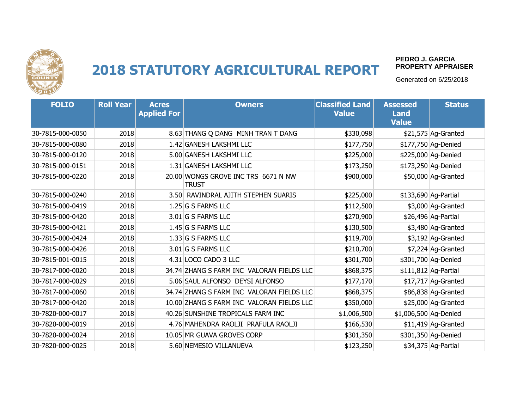

#### **PEDRO J. GARCIA PROPERTY APPRAISER**

| <b>FOLIO</b>     | <b>Roll Year</b> | <b>Acres</b><br><b>Applied For</b> | <b>Owners</b>                                       | <b>Classified Land</b><br><b>Value</b> | <b>Assessed</b><br><b>Land</b><br><b>Value</b> | <b>Status</b>        |
|------------------|------------------|------------------------------------|-----------------------------------------------------|----------------------------------------|------------------------------------------------|----------------------|
| 30-7815-000-0050 | 2018             |                                    | 8.63 THANG Q DANG MINH TRAN T DANG                  | \$330,098                              |                                                | $$21,575$ Ag-Granted |
| 30-7815-000-0080 | 2018             |                                    | 1.42 GANESH LAKSHMI LLC                             | \$177,750                              |                                                | \$177,750 Ag-Denied  |
| 30-7815-000-0120 | 2018             |                                    | 5.00 GANESH LAKSHMI LLC                             | \$225,000                              |                                                | \$225,000 Ag-Denied  |
| 30-7815-000-0151 | 2018             |                                    | 1.31 GANESH LAKSHMI LLC                             | \$173,250                              |                                                | \$173,250 Ag-Denied  |
| 30-7815-000-0220 | 2018             |                                    | 20.00 WONGS GROVE INC TRS 6671 N NW<br><b>TRUST</b> | \$900,000                              |                                                | \$50,000 Ag-Granted  |
| 30-7815-000-0240 | 2018             |                                    | 3.50 RAVINDRAL AJITH STEPHEN SUARIS                 | \$225,000                              |                                                | \$133,690 Ag-Partial |
| 30-7815-000-0419 | 2018             |                                    | 1.25 G S FARMS LLC                                  | \$112,500                              |                                                | \$3,000 Ag-Granted   |
| 30-7815-000-0420 | 2018             |                                    | 3.01 G S FARMS LLC                                  | \$270,900                              |                                                | \$26,496 Ag-Partial  |
| 30-7815-000-0421 | 2018             |                                    | 1.45 G S FARMS LLC                                  | \$130,500                              |                                                | \$3,480 Ag-Granted   |
| 30-7815-000-0424 | 2018             |                                    | $1.33$ G S FARMS LLC                                | \$119,700                              |                                                | \$3,192 Ag-Granted   |
| 30-7815-000-0426 | 2018             |                                    | $3.01$ G S FARMS LLC                                | \$210,700                              |                                                | \$7,224 Ag-Granted   |
| 30-7815-001-0015 | 2018             |                                    | 4.31 LOCO CADO 3 LLC                                | \$301,700                              |                                                | \$301,700 Ag-Denied  |
| 30-7817-000-0020 | 2018             |                                    | 34.74 ZHANG S FARM INC VALORAN FIELDS LLC           | \$868,375                              |                                                | \$111,812 Ag-Partial |
| 30-7817-000-0029 | 2018             |                                    | 5.06 SAUL ALFONSO DEYSI ALFONSO                     | \$177,170                              |                                                | $$17,717$ Ag-Granted |
| 30-7817-000-0060 | 2018             |                                    | 34.74 ZHANG S FARM INC VALORAN FIELDS LLC           | \$868,375                              |                                                | \$86,838 Ag-Granted  |
| 30-7817-000-0420 | 2018             |                                    | 10.00 ZHANG S FARM INC VALORAN FIELDS LLC           | \$350,000                              |                                                | \$25,000 Ag-Granted  |
| 30-7820-000-0017 | 2018             |                                    | 40.26 SUNSHINE TROPICALS FARM INC                   | \$1,006,500                            | \$1,006,500 Ag-Denied                          |                      |
| 30-7820-000-0019 | 2018             |                                    | 4.76 MAHENDRA RAOLJI PRAFULA RAOLJI                 | \$166,530                              |                                                | \$11,419 Ag-Granted  |
| 30-7820-000-0024 | 2018             |                                    | 10.05 MR GUAVA GROVES CORP                          | \$301,350                              |                                                | \$301,350 Ag-Denied  |
| 30-7820-000-0025 | 2018             |                                    | 5.60 NEMESIO VILLANUEVA                             | \$123,250                              |                                                | \$34,375 Ag-Partial  |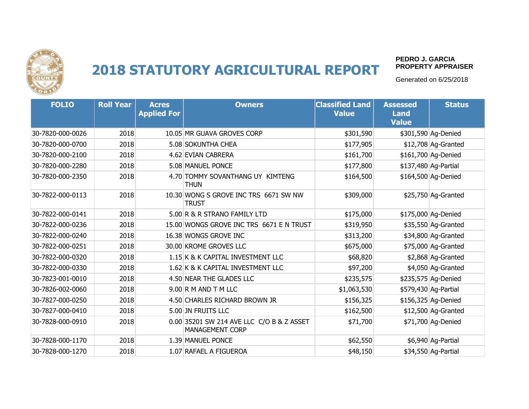

#### **PEDRO J. GARCIA PROPERTY APPRAISER**

| <b>FOLIO</b>     | <b>Roll Year</b> | <b>Acres</b><br><b>Applied For</b> | <b>Owners</b>                                                | <b>Classified Land</b><br><b>Value</b> | <b>Assessed</b><br><b>Land</b><br><b>Value</b> | <b>Status</b>        |
|------------------|------------------|------------------------------------|--------------------------------------------------------------|----------------------------------------|------------------------------------------------|----------------------|
| 30-7820-000-0026 | 2018             |                                    | 10.05 MR GUAVA GROVES CORP                                   | \$301,590                              |                                                | \$301,590 Ag-Denied  |
| 30-7820-000-0700 | 2018             |                                    | 5.08 SOKUNTHA CHEA                                           | \$177,905                              |                                                | \$12,708 Ag-Granted  |
| 30-7820-000-2100 | 2018             |                                    | 4.62 EVIAN CABRERA                                           | \$161,700                              |                                                | \$161,700 Ag-Denied  |
| 30-7820-000-2280 | 2018             |                                    | 5.08 MANUEL PONCE                                            | \$177,800                              |                                                | \$137,480 Ag-Partial |
| 30-7820-000-2350 | 2018             |                                    | 4.70 TOMMY SOVANTHANG UY KIMTENG<br><b>THUN</b>              | \$164,500                              |                                                | \$164,500 Ag-Denied  |
| 30-7822-000-0113 | 2018             |                                    | 10.30 WONG S GROVE INC TRS 6671 SW NW<br><b>TRUST</b>        | \$309,000                              |                                                | \$25,750 Ag-Granted  |
| 30-7822-000-0141 | 2018             |                                    | 5.00 R & R STRANO FAMILY LTD                                 | \$175,000                              |                                                | \$175,000 Ag-Denied  |
| 30-7822-000-0236 | 2018             |                                    | 15.00 WONGS GROVE INC TRS 6671 E N TRUST                     | \$319,950                              |                                                | \$35,550 Ag-Granted  |
| 30-7822-000-0240 | 2018             |                                    | 16.38 WONGS GROVE INC                                        | \$313,200                              |                                                | \$34,800 Ag-Granted  |
| 30-7822-000-0251 | 2018             |                                    | 30.00 KROME GROVES LLC                                       | \$675,000                              |                                                | \$75,000 Ag-Granted  |
| 30-7822-000-0320 | 2018             |                                    | 1.15 K & K CAPITAL INVESTMENT LLC                            | \$68,820                               |                                                | \$2,868 Ag-Granted   |
| 30-7822-000-0330 | 2018             |                                    | 1.62 K & K CAPITAL INVESTMENT LLC                            | \$97,200                               |                                                | \$4,050 Ag-Granted   |
| 30-7823-001-0010 | 2018             |                                    | 4.50 NEAR THE GLADES LLC                                     | \$235,575                              |                                                | \$235,575 Ag-Denied  |
| 30-7826-002-0060 | 2018             |                                    | $9.00$ R M AND T M LLC                                       | \$1,063,530                            |                                                | \$579,430 Ag-Partial |
| 30-7827-000-0250 | 2018             |                                    | 4.50 CHARLES RICHARD BROWN JR                                | \$156,325                              |                                                | \$156,325 Ag-Denied  |
| 30-7827-000-0410 | 2018             |                                    | 5.00 JN FRUITS LLC                                           | \$162,500                              |                                                | \$12,500 Ag-Granted  |
| 30-7828-000-0910 | 2018             |                                    | 0.00 35201 SW 214 AVE LLC C/O B & Z ASSET<br>MANAGEMENT CORP | \$71,700                               |                                                | \$71,700 Ag-Denied   |
| 30-7828-000-1170 | 2018             |                                    | 1.39 MANUEL PONCE                                            | \$62,550                               |                                                | \$6,940 Ag-Partial   |
| 30-7828-000-1270 | 2018             |                                    | 1.07 RAFAEL A FIGUEROA                                       | \$48,150                               |                                                | \$34,550 Ag-Partial  |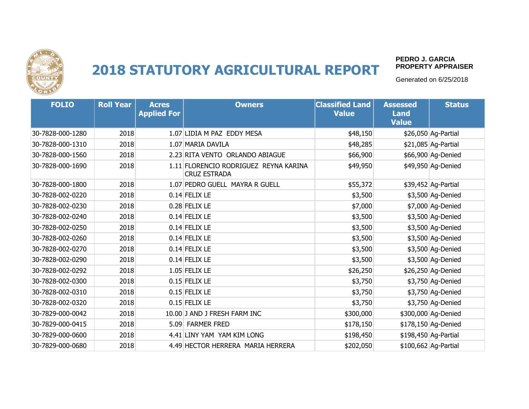

#### **PEDRO J. GARCIA PROPERTY APPRAISER**

| <b>FOLIO</b>     | <b>Roll Year</b> | <b>Acres</b><br><b>Applied For</b> | <b>Owners</b>                                                | <b>Classified Land</b><br><b>Value</b> | <b>Assessed</b><br><b>Land</b><br><b>Value</b> | <b>Status</b>        |
|------------------|------------------|------------------------------------|--------------------------------------------------------------|----------------------------------------|------------------------------------------------|----------------------|
| 30-7828-000-1280 | 2018             |                                    | 1.07 LIDIA M PAZ EDDY MESA                                   | \$48,150                               |                                                | \$26,050 Ag-Partial  |
| 30-7828-000-1310 | 2018             |                                    | 1.07 MARIA DAVILA                                            | \$48,285                               |                                                | \$21,085 Ag-Partial  |
| 30-7828-000-1560 | 2018             |                                    | 2.23 RITA VENTO ORLANDO ABIAGUE                              | \$66,900                               |                                                | \$66,900 Ag-Denied   |
| 30-7828-000-1690 | 2018             |                                    | 1.11 FLORENCIO RODRIGUEZ REYNA KARINA<br><b>CRUZ ESTRADA</b> | \$49,950                               |                                                | \$49,950 Ag-Denied   |
| 30-7828-000-1800 | 2018             |                                    | 1.07 PEDRO GUELL MAYRA R GUELL                               | \$55,372                               |                                                | \$39,452 Ag-Partial  |
| 30-7828-002-0220 | 2018             |                                    | $0.14$ FELIX LE                                              | \$3,500                                |                                                | \$3,500 Ag-Denied    |
| 30-7828-002-0230 | 2018             |                                    | $0.28$ FELIX LE                                              | \$7,000                                |                                                | \$7,000 Ag-Denied    |
| 30-7828-002-0240 | 2018             |                                    | $0.14$ FELIX LE                                              | \$3,500                                |                                                | \$3,500 Ag-Denied    |
| 30-7828-002-0250 | 2018             |                                    | $0.14$ FELIX LE                                              | \$3,500                                |                                                | \$3,500 Ag-Denied    |
| 30-7828-002-0260 | 2018             |                                    | $0.14$ FELIX LE                                              | \$3,500                                |                                                | \$3,500 Ag-Denied    |
| 30-7828-002-0270 | 2018             |                                    | 0.14 FELIX LE                                                | \$3,500                                |                                                | \$3,500 Ag-Denied    |
| 30-7828-002-0290 | 2018             |                                    | 0.14 FELIX LE                                                | \$3,500                                |                                                | \$3,500 Ag-Denied    |
| 30-7828-002-0292 | 2018             |                                    | 1.05 FELIX LE                                                | \$26,250                               |                                                | \$26,250 Ag-Denied   |
| 30-7828-002-0300 | 2018             |                                    | $0.15$ FELIX LE                                              | \$3,750                                |                                                | \$3,750 Ag-Denied    |
| 30-7828-002-0310 | 2018             |                                    | $0.15$ FELIX LE                                              | \$3,750                                |                                                | \$3,750 Ag-Denied    |
| 30-7828-002-0320 | 2018             |                                    | $0.15$ FELIX LE                                              | \$3,750                                |                                                | \$3,750 Ag-Denied    |
| 30-7829-000-0042 | 2018             |                                    | 10.00 J AND J FRESH FARM INC                                 | \$300,000                              |                                                | \$300,000 Ag-Denied  |
| 30-7829-000-0415 | 2018             |                                    | 5.09 FARMER FRED                                             | \$178,150                              |                                                | \$178,150 Ag-Denied  |
| 30-7829-000-0600 | 2018             |                                    | 4.41 LINY YAM YAM KIM LONG                                   | \$198,450                              |                                                | \$198,450 Ag-Partial |
| 30-7829-000-0680 | 2018             |                                    | 4.49 HECTOR HERRERA MARIA HERRERA                            | \$202,050                              |                                                | \$100,662 Ag-Partial |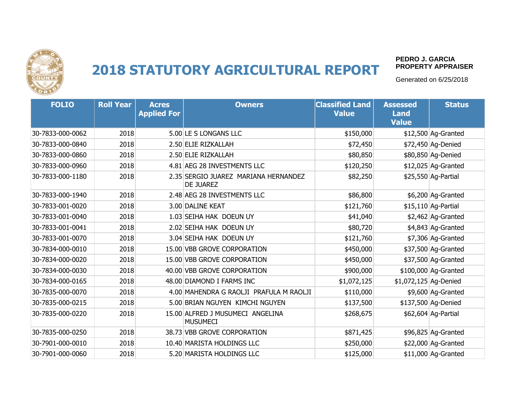

#### **PEDRO J. GARCIA PROPERTY APPRAISER**

| <b>FOLIO</b>     | <b>Roll Year</b> | <b>Acres</b><br><b>Applied For</b> | <b>Owners</b>                                            | <b>Classified Land</b><br><b>Value</b> | <b>Assessed</b><br><b>Land</b><br><b>Value</b> | <b>Status</b>        |
|------------------|------------------|------------------------------------|----------------------------------------------------------|----------------------------------------|------------------------------------------------|----------------------|
| 30-7833-000-0062 | 2018             |                                    | 5.00 LE S LONGANS LLC                                    | \$150,000                              |                                                | \$12,500 Ag-Granted  |
| 30-7833-000-0840 | 2018             |                                    | 2.50 ELIE RIZKALLAH                                      | \$72,450                               |                                                | \$72,450 Ag-Denied   |
| 30-7833-000-0860 | 2018             |                                    | 2.50 ELIE RIZKALLAH                                      | \$80,850                               |                                                | \$80,850 Ag-Denied   |
| 30-7833-000-0960 | 2018             |                                    | 4.81 AEG 28 INVESTMENTS LLC                              | \$120,250                              |                                                | \$12,025 Ag-Granted  |
| 30-7833-000-1180 | 2018             |                                    | 2.35 SERGIO JUAREZ MARIANA HERNANDEZ<br><b>DE JUAREZ</b> | \$82,250                               |                                                | \$25,550 Ag-Partial  |
| 30-7833-000-1940 | 2018             |                                    | 2.48 AEG 28 INVESTMENTS LLC                              | \$86,800                               |                                                | \$6,200 Ag-Granted   |
| 30-7833-001-0020 | 2018             |                                    | 3.00 DALINE KEAT                                         | \$121,760                              |                                                | \$15,110 Ag-Partial  |
| 30-7833-001-0040 | 2018             |                                    | 1.03 SEIHA HAK DOEUN UY                                  | \$41,040                               |                                                | \$2,462 Ag-Granted   |
| 30-7833-001-0041 | 2018             |                                    | 2.02 SEIHA HAK DOEUN UY                                  | \$80,720                               |                                                | \$4,843 Ag-Granted   |
| 30-7833-001-0070 | 2018             |                                    | 3.04 SEIHA HAK DOEUN UY                                  | \$121,760                              |                                                | \$7,306 Ag-Granted   |
| 30-7834-000-0010 | 2018             |                                    | 15.00 VBB GROVE CORPORATION                              | \$450,000                              |                                                | \$37,500 Ag-Granted  |
| 30-7834-000-0020 | 2018             |                                    | 15.00 VBB GROVE CORPORATION                              | \$450,000                              |                                                | \$37,500 Ag-Granted  |
| 30-7834-000-0030 | 2018             |                                    | 40.00 VBB GROVE CORPORATION                              | \$900,000                              |                                                | \$100,000 Ag-Granted |
| 30-7834-000-0165 | 2018             |                                    | 48.00 DIAMOND I FARMS INC                                | \$1,072,125                            | \$1,072,125 Ag-Denied                          |                      |
| 30-7835-000-0070 | 2018             |                                    | 4.00 MAHENDRA G RAOLJI PRAFULA M RAOLJI                  | \$110,000                              |                                                | \$9,600 Ag-Granted   |
| 30-7835-000-0215 | 2018             |                                    | 5.00 BRIAN NGUYEN KIMCHI NGUYEN                          | \$137,500                              |                                                | \$137,500 Ag-Denied  |
| 30-7835-000-0220 | 2018             |                                    | 15.00 ALFRED J MUSUMECI ANGELINA<br><b>MUSUMECI</b>      | \$268,675                              |                                                | \$62,604 Ag-Partial  |
| 30-7835-000-0250 | 2018             |                                    | 38.73 VBB GROVE CORPORATION                              | \$871,425                              |                                                | \$96,825 Ag-Granted  |
| 30-7901-000-0010 | 2018             |                                    | 10.40 MARISTA HOLDINGS LLC                               | \$250,000                              |                                                | \$22,000 Ag-Granted  |
| 30-7901-000-0060 | 2018             |                                    | 5.20 MARISTA HOLDINGS LLC                                | \$125,000                              |                                                | \$11,000 Ag-Granted  |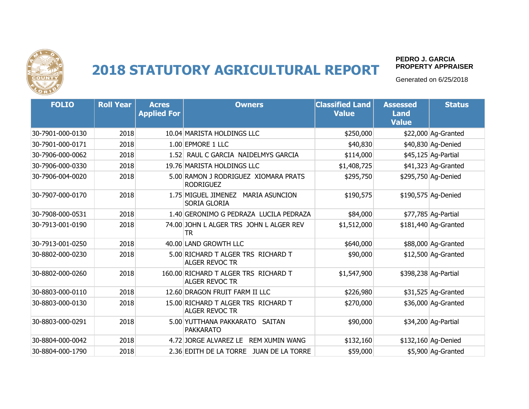

#### **PEDRO J. GARCIA PROPERTY APPRAISER**

| <b>FOLIO</b>     | <b>Roll Year</b> | <b>Acres</b><br><b>Applied For</b> | <b>Owners</b>                                                | <b>Classified Land</b><br><b>Value</b> | <b>Assessed</b><br><b>Land</b><br><b>Value</b> | <b>Status</b>        |
|------------------|------------------|------------------------------------|--------------------------------------------------------------|----------------------------------------|------------------------------------------------|----------------------|
| 30-7901-000-0130 | 2018             |                                    | 10.04 MARISTA HOLDINGS LLC                                   | \$250,000                              |                                                | \$22,000 Ag-Granted  |
| 30-7901-000-0171 | 2018             |                                    | 1.00 EPMORE 1 LLC                                            | \$40,830                               |                                                | \$40,830 Ag-Denied   |
| 30-7906-000-0062 | 2018             |                                    | 1.52 RAUL C GARCIA NAIDELMYS GARCIA                          | \$114,000                              |                                                | \$45,125 Ag-Partial  |
| 30-7906-000-0330 | 2018             |                                    | 19.76 MARISTA HOLDINGS LLC                                   | \$1,408,725                            |                                                | \$41,323 Ag-Granted  |
| 30-7906-004-0020 | 2018             |                                    | 5.00 RAMON J RODRIGUEZ XIOMARA PRATS<br><b>RODRIGUEZ</b>     | \$295,750                              |                                                | \$295,750 Ag-Denied  |
| 30-7907-000-0170 | 2018             |                                    | 1.75 MIGUEL JIMENEZ MARIA ASUNCION<br>SORIA GLORIA           | \$190,575                              |                                                | \$190,575 Ag-Denied  |
| 30-7908-000-0531 | 2018             |                                    | 1.40 GERONIMO G PEDRAZA LUCILA PEDRAZA                       | \$84,000                               |                                                | \$77,785 Ag-Partial  |
| 30-7913-001-0190 | 2018             |                                    | 74.00 JOHN L ALGER TRS JOHN L ALGER REV<br>TR                | \$1,512,000                            |                                                | \$181,440 Ag-Granted |
| 30-7913-001-0250 | 2018             |                                    | 40.00 LAND GROWTH LLC                                        | \$640,000                              |                                                | \$88,000 Ag-Granted  |
| 30-8802-000-0230 | 2018             |                                    | 5.00 RICHARD T ALGER TRS RICHARD T<br><b>ALGER REVOC TR</b>  | \$90,000                               |                                                | \$12,500 Ag-Granted  |
| 30-8802-000-0260 | 2018             |                                    | 160.00 RICHARD T ALGER TRS RICHARD T<br>ALGER REVOC TR       | \$1,547,900                            |                                                | \$398,238 Ag-Partial |
| 30-8803-000-0110 | 2018             |                                    | 12.60 DRAGON FRUIT FARM II LLC                               | \$226,980                              |                                                | \$31,525 Ag-Granted  |
| 30-8803-000-0130 | 2018             |                                    | 15.00 RICHARD T ALGER TRS RICHARD T<br><b>ALGER REVOC TR</b> | \$270,000                              |                                                | \$36,000 Ag-Granted  |
| 30-8803-000-0291 | 2018             |                                    | 5.00 YUTTHANA PAKKARATO<br>SAITAN<br><b>PAKKARATO</b>        | \$90,000                               |                                                | \$34,200 Ag-Partial  |
| 30-8804-000-0042 | 2018             |                                    | 4.72 JORGE ALVAREZ LE<br>REM XUMIN WANG                      | \$132,160                              |                                                | \$132,160 Ag-Denied  |
| 30-8804-000-1790 | 2018             |                                    | 2.36 EDITH DE LA TORRE JUAN DE LA TORRE                      | \$59,000                               |                                                | \$5,900 Ag-Granted   |